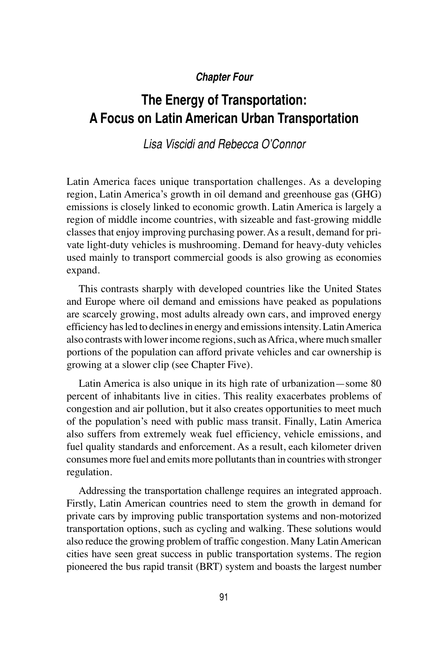# *Chapter Four*

# **The Energy of Transportation: A Focus on Latin American Urban Transportation**

*Lisa Viscidi and Rebecca O'Connor*

Latin America faces unique transportation challenges. As a developing region, Latin America's growth in oil demand and greenhouse gas (GHG) emissions is closely linked to economic growth. Latin America is largely a region of middle income countries, with sizeable and fast-growing middle classes that enjoy improving purchasing power. As a result, demand for private light-duty vehicles is mushrooming. Demand for heavy-duty vehicles used mainly to transport commercial goods is also growing as economies expand.

This contrasts sharply with developed countries like the United States and Europe where oil demand and emissions have peaked as populations are scarcely growing, most adults already own cars, and improved energy efficiency has led to declines in energy and emissions intensity. Latin America also contrasts with lower income regions, such as Africa, where much smaller portions of the population can afford private vehicles and car ownership is growing at a slower clip (see Chapter Five).

Latin America is also unique in its high rate of urbanization—some 80 percent of inhabitants live in cities. This reality exacerbates problems of congestion and air pollution, but it also creates opportunities to meet much of the population's need with public mass transit. Finally, Latin America also suffers from extremely weak fuel efficiency, vehicle emissions, and fuel quality standards and enforcement. As a result, each kilometer driven consumes more fuel and emits more pollutants than in countries with stronger regulation.

Addressing the transportation challenge requires an integrated approach. Firstly, Latin American countries need to stem the growth in demand for private cars by improving public transportation systems and non-motorized transportation options, such as cycling and walking. These solutions would also reduce the growing problem of traffic congestion. Many Latin American cities have seen great success in public transportation systems. The region pioneered the bus rapid transit (BRT) system and boasts the largest number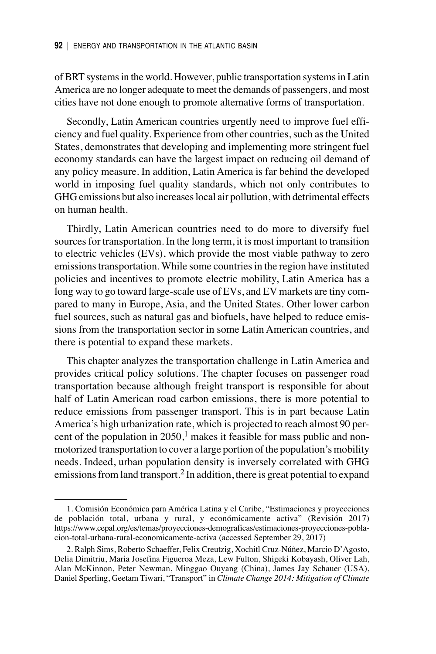of BRT systems in the world. However, public transportation systems in Latin America are no longer adequate to meet the demands of passengers, and most cities have not done enough to promote alternative forms of transportation.

Secondly, Latin American countries urgently need to improve fuel efficiency and fuel quality. Experience from other countries, such as the United States, demonstrates that developing and implementing more stringent fuel economy standards can have the largest impact on reducing oil demand of any policy measure. In addition, Latin America is far behind the developed world in imposing fuel quality standards, which not only contributes to GHG emissions but also increaseslocal air pollution, with detrimental effects on human health.

Thirdly, Latin American countries need to do more to diversify fuel sources for transportation. In the long term, it is most important to transition to electric vehicles (EVs), which provide the most viable pathway to zero emissions transportation. While some countries in the region have instituted policies and incentives to promote electric mobility, Latin America has a long way to go toward large-scale use of EVs, and EV markets are tiny compared to many in Europe, Asia, and the United States. Other lower carbon fuel sources, such as natural gas and biofuels, have helped to reduce emissions from the transportation sector in some Latin American countries, and there is potential to expand these markets.

This chapter analyzes the transportation challenge in Latin America and provides critical policy solutions. The chapter focuses on passenger road transportation because although freight transport is responsible for about half of Latin American road carbon emissions, there is more potential to reduce emissions from passenger transport. This is in part because Latin America's high urbanization rate, which is projected to reach almost 90 percent of the population in 2050, <sup>1</sup> makes it feasible for mass public and nonmotorized transportation to cover a large portion of the population's mobility needs. Indeed, urban population density is inversely correlated with GHG emissions from land transport.<sup>2</sup> In addition, there is great potential to expand

<sup>1.</sup> Comisión Económica para América Latina y el Caribe, "Estimaciones y proyecciones de población total, urbana y rural, y económicamente activa" (Revisión 2017) https://www.cepal.org/es/temas/proyecciones-demograficas/estimaciones-proyecciones-poblacion-total-urbana-rural-economicamente-activa (accessed September 29, 2017)

<sup>2.</sup> Ralph Sims, Roberto Schaeffer, Felix Creutzig, Xochitl Cruz-Núñez, Marcio D'Agosto, Delia Dimitriu, Maria Josefina Figueroa Meza, Lew Fulton, Shigeki Kobayash, Oliver Lah, Alan McKinnon, Peter Newman, Minggao Ouyang (China), James Jay Schauer (USA), Daniel Sperling, Geetam Tiwari, "Transport" in *Climate Change 2014: Mitigation of Climate*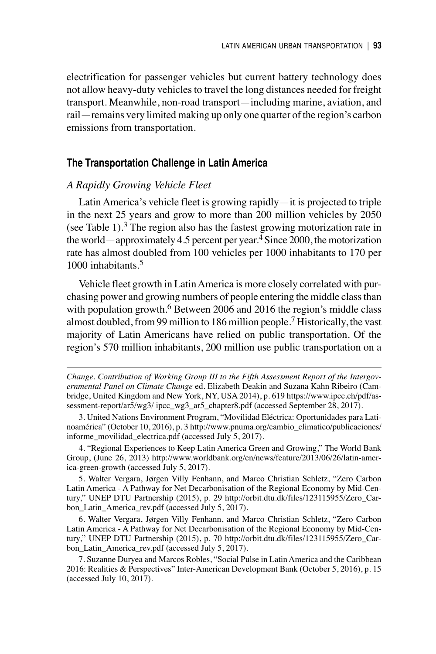electrification for passenger vehicles but current battery technology does not allow heavy-duty vehiclesto travel the long distances needed for freight transport. Meanwhile, non-road transport—including marine, aviation, and rail—remains very limited making up only one quarter of the region's carbon emissions from transportation.

## **The Transportation Challenge in Latin America**

#### *A Rapidly Growing Vehicle Fleet*

Latin America's vehicle fleet is growing rapidly—it is projected to triple in the next 25 years and grow to more than 200 million vehicles by 2050 (see Table 1). <sup>3</sup> The region also has the fastest growing motorization rate in the world—approximately 4.5 percent per year.<sup>4</sup> Since 2000, the motorization rate has almost doubled from 100 vehicles per 1000 inhabitants to 170 per 1000 inhabitants. 5

Vehicle fleet growth in LatinAmerica is more closely correlated with purchasing power and growing numbers of people entering the middle classthan with population growth.<sup>6</sup> Between 2006 and 2016 the region's middle class almost doubled, from 99 million to 186 million people.<sup>7</sup> Historically, the vast majority of Latin Americans have relied on public transportation. Of the region's 570 million inhabitants, 200 million use public transportation on a

*Change. Contribution of Working Group III to the Fifth Assessment Report of the Intergovernmental Panel on Climate Change* ed. Elizabeth Deakin and Suzana Kahn Ribeiro (Cambridge, United Kingdom and New York, NY, USA 2014), p. 619 https://www.ipcc.ch/pdf/assessment-report/ar5/wg3/ ipcc\_wg3\_ar5\_chapter8.pdf (accessed September 28, 2017).

3. United Nations Environment Program, "Movilidad Eléctrica: Oportunidades para Latinoamérica" (October 10, 2016), p. 3 http://www.pnuma.org/cambio\_climatico/publicaciones/ informe\_movilidad\_electrica.pdf (accessed July 5, 2017).

4. "Regional Experiences to Keep Latin America Green and Growing," The World Bank Group, (June 26, 2013) http://www.worldbank.org/en/news/feature/2013/06/26/latin-america-green-growth (accessed July 5, 2017).

5. Walter Vergara, Jørgen Villy Fenhann, and Marco Christian Schletz, "Zero Carbon Latin America - A Pathway for Net Decarbonisation of the Regional Economy by Mid-Century," UNEP DTU Partnership (2015), p. 29 http://orbit.dtu.dk/files/123115955/Zero\_Carbon\_Latin\_America\_rev.pdf (accessed July 5, 2017).

6. Walter Vergara, Jørgen Villy Fenhann, and Marco Christian Schletz, "Zero Carbon Latin America - A Pathway for Net Decarbonisation of the Regional Economy by Mid-Century," UNEP DTU Partnership (2015), p. 70 http://orbit.dtu.dk/files/123115955/Zero\_Carbon\_Latin\_America\_rev.pdf (accessed July 5, 2017).

7. Suzanne Duryea and Marcos Robles, "Social Pulse in Latin America and the Caribbean 2016: Realities & Perspectives" Inter-American Development Bank (October 5, 2016), p. 15 (accessed July 10, 2017).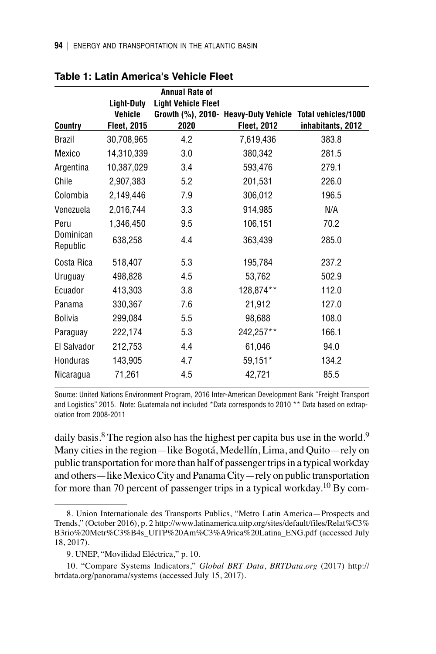| Country               | <b>Light-Duty</b><br>Vehicle<br><b>Fleet, 2015</b> | <b>Annual Rate of</b><br><b>Light Vehicle Fleet</b><br>2020 | Growth (%), 2010- Heavy-Duty Vehicle Total vehicles/1000<br><b>Fleet, 2012</b> | inhabitants, 2012 |
|-----------------------|----------------------------------------------------|-------------------------------------------------------------|--------------------------------------------------------------------------------|-------------------|
| <b>Brazil</b>         | 30,708,965                                         | 4.2                                                         | 7,619,436                                                                      | 383.8             |
| Mexico                | 14,310,339                                         | 3.0                                                         | 380,342                                                                        | 281.5             |
| Argentina             | 10,387,029                                         | 3.4                                                         | 593,476                                                                        | 279.1             |
| Chile                 | 2,907,383                                          | 5.2                                                         | 201,531                                                                        | 226.0             |
| Colombia              | 2,149,446                                          | 7.9                                                         | 306,012                                                                        | 196.5             |
| Venezuela             | 2,016,744                                          | 3.3                                                         | 914,985                                                                        | N/A               |
| Peru                  | 1,346,450                                          | 9.5                                                         | 106,151                                                                        | 70.2              |
| Dominican<br>Republic | 638,258                                            | 4.4                                                         | 363,439                                                                        | 285.0             |
| Costa Rica            | 518,407                                            | 5.3                                                         | 195,784                                                                        | 237.2             |
| Uruguay               | 498,828                                            | 4.5                                                         | 53,762                                                                         | 502.9             |
| Ecuador               | 413,303                                            | 3.8                                                         | 128,874**                                                                      | 112.0             |
| Panama                | 330,367                                            | 7.6                                                         | 21,912                                                                         | 127.0             |
| <b>Bolivia</b>        | 299,084                                            | 5.5                                                         | 98,688                                                                         | 108.0             |
| Paraguay              | 222,174                                            | 5.3                                                         | 242,257**                                                                      | 166.1             |
| El Salvador           | 212,753                                            | 4.4                                                         | 61,046                                                                         | 94.0              |
| Honduras              | 143,905                                            | 4.7                                                         | 59,151*                                                                        | 134.2             |
| Nicaragua             | 71,261                                             | 4.5                                                         | 42,721                                                                         | 85.5              |

#### **Table 1: Latin America's Vehicle Fleet**

Source: United Nations Environment Program, 2016 Inter-American Development Bank "Freight Transport and Logistics" 2015. Note: Guatemala not included \*Data corresponds to 2010 \*\* Data based on extrapolation from 2008-2011

daily basis.<sup>8</sup> The region also has the highest per capita bus use in the world.<sup>9</sup> Many cities in the region—like Bogotá, Medellín, Lima, and Quito—rely on public transportation for more than half of passenger trips in a typical workday and others—like Mexico City and Panama City—rely on public transportation for more than 70 percent of passenger trips in a typical workday.<sup>10</sup> By com-

<sup>8.</sup> Union Internationale des Transports Publics, "Metro Latin America—Prospects and Trends," (October 2016), p. 2 http://www.latinamerica.uitp.org/sites/default/files/Relat%C3% B3rio%20Metr%C3%B4s\_UITP%20Am%C3%A9rica%20Latina\_ENG.pdf (accessed July 18, 2017).

<sup>9.</sup> UNEP, "Movilidad Eléctrica," p. 10.

<sup>10.</sup> "Compare Systems Indicators," *Global BRT Data*, *BRTData.org* (2017) http:// brtdata.org/panorama/systems (accessed July 15, 2017).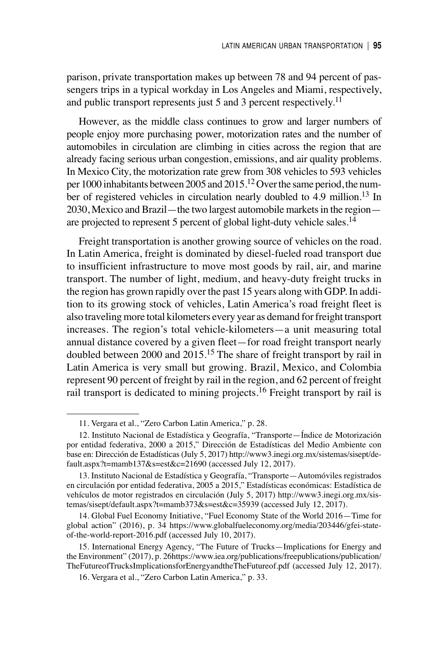parison, private transportation makes up between 78 and 94 percent of passengers trips in a typical workday in Los Angeles and Miami, respectively, and public transport represents just 5 and 3 percent respectively.<sup>11</sup>

However, as the middle class continues to grow and larger numbers of people enjoy more purchasing power, motorization rates and the number of automobiles in circulation are climbing in cities across the region that are already facing serious urban congestion, emissions, and air quality problems. In Mexico City, the motorization rate grew from 308 vehicles to 593 vehicles per 1000 inhabitants between 2005 and 2015.<sup>12</sup> Over the same period, the number of registered vehicles in circulation nearly doubled to 4.9 million.<sup>13</sup> In 2030, Mexico and Brazil—the two largest automobile markets in the region are projected to represent 5 percent of global light-duty vehicle sales.<sup>14</sup>

Freight transportation is another growing source of vehicles on the road. In Latin America, freight is dominated by diesel-fueled road transport due to insufficient infrastructure to move most goods by rail, air, and marine transport. The number of light, medium, and heavy-duty freight trucks in the region has grown rapidly over the past 15 years along with GDP. In addition to its growing stock of vehicles, Latin America's road freight fleet is also traveling more total kilometers every year as demand for freight transport increases. The region's total vehicle-kilometers—a unit measuring total annual distance covered by a given fleet—for road freight transport nearly doubled between 2000 and 2015. <sup>15</sup> The share of freight transport by rail in Latin America is very small but growing. Brazil, Mexico, and Colombia represent 90 percent of freight by rail in the region, and 62 percent of freight rail transport is dedicated to mining projects. <sup>16</sup> Freight transport by rail is

<sup>11.</sup> Vergara et al., "Zero Carbon Latin America," p. 28.

<sup>12.</sup> Instituto Nacional de Estadística y Geografía, "Transporte—Índice de Motorización por entidad federativa, 2000 a 2015," Dirección de Estadísticas del Medio Ambiente con base en: Dirección de Estadísticas (July 5, 2017) http://www3.inegi.org.mx/sistemas/sisept/default.aspx?t=mamb137&s=est&c=21690 (accessed July 12, 2017).

<sup>13.</sup> Instituto Nacional de Estadística y Geografía, "Transporte—Automóviles registrados en circulación por entidad federativa, 2005 a 2015," Estadísticas económicas: Estadística de vehículos de motor registrados en circulación (July 5, 2017) http://www3.inegi.org.mx/sistemas/sisept/default.aspx?t=mamb373&s=est&c=35939 (accessed July 12, 2017).

<sup>14.</sup> Global Fuel Economy Initiative, "Fuel Economy State of the World 2016—Time for global action" (2016), p. 34 https://www.globalfueleconomy.org/media/203446/gfei-stateof-the-world-report-2016.pdf (accessed July 10, 2017).

<sup>15.</sup> International Energy Agency, "The Future of Trucks—Implications for Energy and the Environment" (2017), p. 26https://www.iea.org/publications/freepublications/publication/ TheFutureofTrucksImplicationsforEnergyandtheTheFutureof.pdf (accessed July 12, 2017).

<sup>16.</sup> Vergara et al., "Zero Carbon Latin America," p. 33.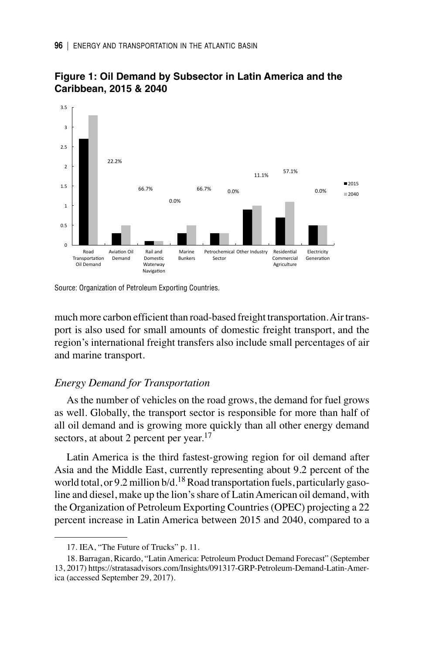

## **Figure 1: Oil Demand by Subsector in Latin America and the Caribbean, 2015 & 2040**

Source: Organization of Petroleum Exporting Countries.

much more carbon efficient than road-based freight transportation. Air transport is also used for small amounts of domestic freight transport, and the region's international freight transfers also include small percentages of air and marine transport.

#### *Energy Demand for Transportation*

As the number of vehicles on the road grows, the demand for fuel grows as well. Globally, the transport sector is responsible for more than half of all oil demand and is growing more quickly than all other energy demand sectors, at about 2 percent per year.<sup>17</sup>

Latin America is the third fastest-growing region for oil demand after Asia and the Middle East, currently representing about 9.2 percent of the world total, or 9.2 million b/d.<sup>18</sup> Road transportation fuels, particularly gasoline and diesel, make up the lion'sshare of LatinAmerican oil demand, with the Organization of Petroleum Exporting Countries(OPEC) projecting a 22 percent increase in Latin America between 2015 and 2040, compared to a

<sup>17.</sup> IEA, "The Future of Trucks" p. 11.

<sup>18.</sup> Barragan, Ricardo, "Latin America: Petroleum Product Demand Forecast" (September 13, 2017) https://stratasadvisors.com/Insights/091317-GRP-Petroleum-Demand-Latin-America (accessed September 29, 2017).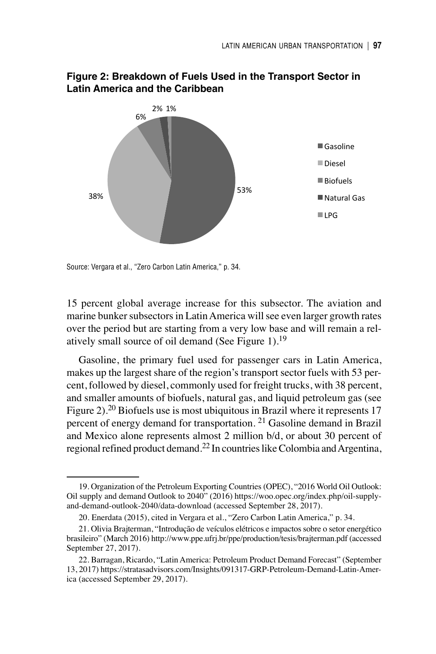

#### **Figure 2: Breakdown of Fuels Used in the Transport Sector in Latin America and the Caribbean**

Source: Vergara et al., "Zero Carbon Latin America," p. 34.

15 percent global average increase for this subsector. The aviation and marine bunker subsectors in Latin America will see even larger growth rates over the period but are starting from a very low base and will remain a relatively small source of oil demand (See Figure 1).<sup>19</sup>

Gasoline, the primary fuel used for passenger cars in Latin America, makes up the largest share of the region's transport sector fuels with 53 percent, followed by diesel, commonly used for freight trucks, with 38 percent, and smaller amounts of biofuels, natural gas, and liquid petroleum gas (see Figure 2). <sup>20</sup> Biofuels use is most ubiquitous in Brazil where it represents 17 percent of energy demand for transportation. <sup>21</sup> Gasoline demand in Brazil and Mexico alone represents almost 2 million b/d, or about 30 percent of regional refined product demand.<sup>22</sup> In countries like Colombia and Argentina,

<sup>19.</sup> Organization of the Petroleum Exporting Countries (OPEC), "2016 World Oil Outlook: Oil supply and demand Outlook to 2040" (2016) https://woo.opec.org/index.php/oil-supplyand-demand-outlook-2040/data-download (accessed September 28, 2017).

<sup>20.</sup> Enerdata (2015), cited in Vergara et al., "Zero Carbon Latin America," p. 34.

<sup>21.</sup> Olivia Brajterman, "Introdução de veículos elétricos e impactos sobre o setor energético brasileiro" (March 2016) http://www.ppe.ufrj.br/ppe/production/tesis/brajterman.pdf (accessed September 27, 2017).

<sup>22.</sup> Barragan, Ricardo, "Latin America: Petroleum Product Demand Forecast" (September 13, 2017) https://stratasadvisors.com/Insights/091317-GRP-Petroleum-Demand-Latin-America (accessed September 29, 2017).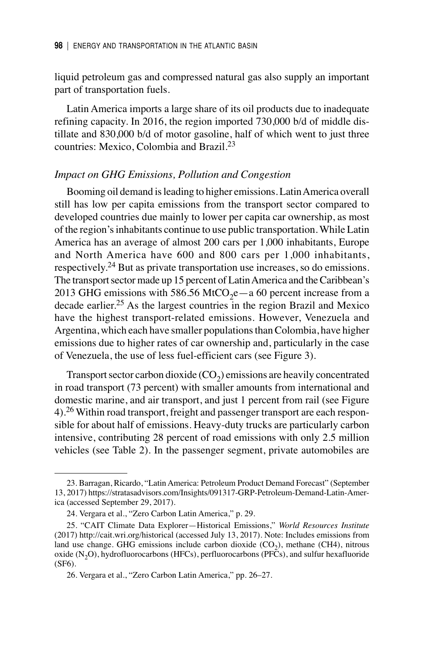liquid petroleum gas and compressed natural gas also supply an important part of transportation fuels.

Latin America imports a large share of its oil products due to inadequate refining capacity. In 2016, the region imported 730,000 b/d of middle distillate and 830,000 b/d of motor gasoline, half of which went to just three countries: Mexico, Colombia and Brazil. 23

#### *Impact on GHG Emissions, Pollution and Congestion*

Booming oil demand isleading to higher emissions. LatinAmerica overall still has low per capita emissions from the transport sector compared to developed countries due mainly to lower per capita car ownership, as most ofthe region'sinhabitants continue to use public transportation.While Latin America has an average of almost 200 cars per 1,000 inhabitants, Europe and North America have 600 and 800 cars per 1,000 inhabitants, respectively.<sup>24</sup> But as private transportation use increases, so do emissions. The transport sector made up 15 percent of Latin America and the Caribbean's 2013 GHG emissions with 586.56 MtCO<sub>2</sub>e - a 60 percent increase from a decade earlier.<sup>25</sup> As the largest countries in the region Brazil and Mexico have the highest transport-related emissions. However, Venezuela and Argentina, which each have smaller populations than Colombia, have higher emissions due to higher rates of car ownership and, particularly in the case of Venezuela, the use of less fuel-efficient cars (see Figure 3).

Transport sector carbon dioxide  $(CO<sub>2</sub>)$  emissions are heavily concentrated in road transport (73 percent) with smaller amounts from international and domestic marine, and air transport, and just 1 percent from rail (see Figure 4). <sup>26</sup> Within road transport, freight and passenger transport are each responsible for about half of emissions. Heavy-duty trucks are particularly carbon intensive, contributing 28 percent of road emissions with only 2.5 million vehicles (see Table 2). In the passenger segment, private automobiles are

<sup>23.</sup> Barragan, Ricardo, "Latin America: Petroleum Product Demand Forecast" (September 13, 2017) https://stratasadvisors.com/Insights/091317-GRP-Petroleum-Demand-Latin-America (accessed September 29, 2017).

<sup>24.</sup> Vergara et al., "Zero Carbon Latin America," p. 29.

<sup>25.</sup> "CAIT Climate Data Explorer—Historical Emissions," *World Resources Institute* (2017) http://cait.wri.org/historical (accessed July 13, 2017). Note: Includes emissions from land use change. GHG emissions include carbon dioxide  $(CO<sub>2</sub>)$ , methane  $(CH4)$ , nitrous oxide  $(N_2O)$ , hydrofluorocarbons (HFCs), perfluorocarbons (PFCs), and sulfur hexafluoride (SF6).

<sup>26.</sup> Vergara et al., "Zero Carbon Latin America," pp. 26–27.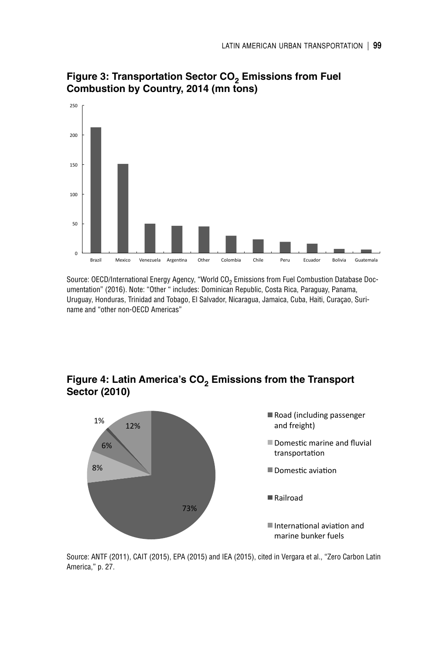

# **Figure 3: Transportation Sector CO<sub>2</sub> Emissions from Fuel Combustion by Country, 2014 (mn tons)**

Source: OECD/International Energy Agency, "World CO<sub>2</sub> Emissions from Fuel Combustion Database Documentation" (2016). Note: "Other " includes: Dominican Republic, Costa Rica, Paraguay, Panama, Uruguay, Honduras, Trinidad and Tobago, El Salvador, Nicaragua, Jamaica, Cuba, Haiti, Curaçao, Suriname and "other non-OECD Americas"

# **Figure 4: Latin America's CO<sub>2</sub> Emissions from the Transport Sector (2010)**



Source: ANTF (2011), CAIT (2015), EPA (2015) and IEA (2015), cited in Vergara et al., "Zero Carbon Latin America," p. 27.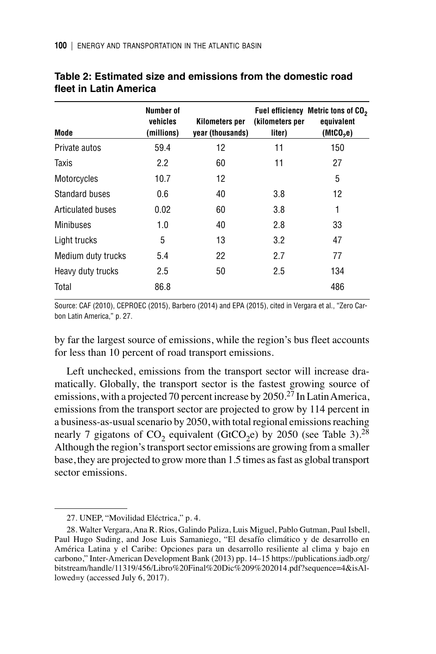| Mode                     | <b>Number of</b><br>vehicles<br>(millions) | Kilometers per<br>year (thousands) | (kilometers per<br>liter) | Fuel efficiency Metric tons of CO <sub>2</sub><br>equivalent<br>(MtCO <sub>2</sub> e) |
|--------------------------|--------------------------------------------|------------------------------------|---------------------------|---------------------------------------------------------------------------------------|
| Private autos            | 59.4                                       | 12                                 | 11                        | 150                                                                                   |
| Taxis                    | 2.2                                        | 60                                 | 11                        | 27                                                                                    |
| Motorcycles              | 10.7                                       | 12                                 |                           | 5                                                                                     |
| <b>Standard buses</b>    | 0.6                                        | 40                                 | 3.8                       | 12                                                                                    |
| <b>Articulated buses</b> | 0.02                                       | 60                                 | 3.8                       | 1                                                                                     |
| <b>Minibuses</b>         | 1.0                                        | 40                                 | 2.8                       | 33                                                                                    |
| Light trucks             | 5                                          | 13                                 | 3.2                       | 47                                                                                    |
| Medium duty trucks       | 5.4                                        | 22                                 | 2.7                       | 77                                                                                    |
| Heavy duty trucks        | 2.5                                        | 50                                 | 2.5                       | 134                                                                                   |
| Total                    | 86.8                                       |                                    |                           | 486                                                                                   |

## **Table 2: Estimated size and emissions from the domestic road fleet in Latin America**

Source: CAF (2010), CEPROEC (2015), Barbero (2014) and EPA (2015), cited in Vergara et al., "Zero Carbon Latin America," p. 27.

by far the largest source of emissions, while the region's bus fleet accounts for less than 10 percent of road transport emissions.

Left unchecked, emissions from the transport sector will increase dramatically. Globally, the transport sector is the fastest growing source of emissions, with a projected 70 percent increase by 2050.<sup>27</sup> In Latin America, emissions from the transport sector are projected to grow by 114 percent in a business-as-usual scenario by 2050, with total regional emissions reaching nearly 7 gigatons of  $CO_2$  equivalent (GtCO<sub>2</sub>e) by 2050 (see Table 3).<sup>28</sup> Although the region's transport sector emissions are growing from a smaller base, they are projected to grow more than 1.5 times as fast as global transport sector emissions.

<sup>27.</sup> UNEP, "Movilidad Eléctrica," p. 4.

<sup>28.</sup> Walter Vergara, Ana R. Rios, Galindo Paliza, Luis Miguel, Pablo Gutman, Paul Isbell, Paul Hugo Suding, and Jose Luis Samaniego, "El desafío climático y de desarrollo en América Latina y el Caribe: Opciones para un desarrollo resiliente al clima y bajo en carbono," Inter-American Development Bank (2013) pp. 14–15 https://publications.iadb.org/ bitstream/handle/11319/456/Libro%20Final%20Dic%209%202014.pdf?sequence=4&isAllowed=y (accessed July 6, 2017).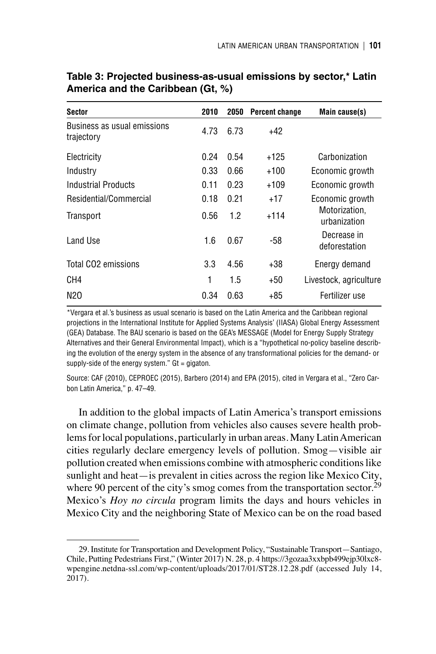| Sector                                    | 2010 | 2050 | <b>Percent change</b> | Main cause(s)                 |
|-------------------------------------------|------|------|-----------------------|-------------------------------|
| Business as usual emissions<br>trajectory | 4.73 | 6.73 | $+42$                 |                               |
| Electricity                               | 0.24 | 0.54 | $+125$                | Carbonization                 |
| Industry                                  | 0.33 | 0.66 | $+100$                | Economic growth               |
| Industrial Products                       | 0.11 | 0.23 | +109                  | Economic growth               |
| Residential/Commercial                    | 0.18 | 0.21 | $+17$                 | Economic growth               |
| Transport                                 | 0.56 | 1.2  | $+114$                | Motorization,<br>urbanization |
| Land Use                                  | 1.6  | 0.67 | -58                   | Decrease in<br>deforestation  |
| Total CO2 emissions                       | 3.3  | 4.56 | $+38$                 | Energy demand                 |
| CH <sub>4</sub>                           | 1    | 1.5  | $+50$                 | Livestock, agriculture        |
| N <sub>20</sub>                           | 0.34 | 0.63 | $+85$                 | Fertilizer use                |

**Table 3: Projected business-as-usual emissions by sector,\* Latin America and the Caribbean (Gt, %)**

\*Vergara et al.'s business as usual scenario is based on the Latin America and the Caribbean regional projections in the International Institute for Applied Systems Analysis' (IIASA) Global Energy Assessment (GEA) Database. The BAU scenario is based on the GEA's MESSAGE (Model for Energy Supply Strategy Alternatives and their General Environmental Impact), which is a "hypothetical no-policy baseline describing the evolution of the energy system in the absence of any transformational policies for the demand- or supply-side of the energy system."  $Gt =$  gigaton.

Source: CAF (2010), CEPROEC (2015), Barbero (2014) and EPA (2015), cited in Vergara et al., "Zero Carbon Latin America," p. 47–49.

In addition to the global impacts of Latin America's transport emissions on climate change, pollution from vehicles also causes severe health problems for local populations, particularly in urban areas. Many Latin American cities regularly declare emergency levels of pollution. Smog—visible air pollution created when emissions combine with atmospheric conditions like sunlight and heat—is prevalent in cities across the region like Mexico City, where 90 percent of the city's smog comes from the transportation sector.<sup>29</sup> Mexico's *Hoy no circula* program limits the days and hours vehicles in Mexico City and the neighboring State of Mexico can be on the road based

<sup>29.</sup> Institute for Transportation and Development Policy, "Sustainable Transport—Santiago, Chile, Putting Pedestrians First," (Winter 2017) N. 28, p. 4 https://3gozaa3xxbpb499ejp30lxc8 wpengine.netdna-ssl.com/wp-content/uploads/2017/01/ST28.12.28.pdf (accessed July 14, 2017).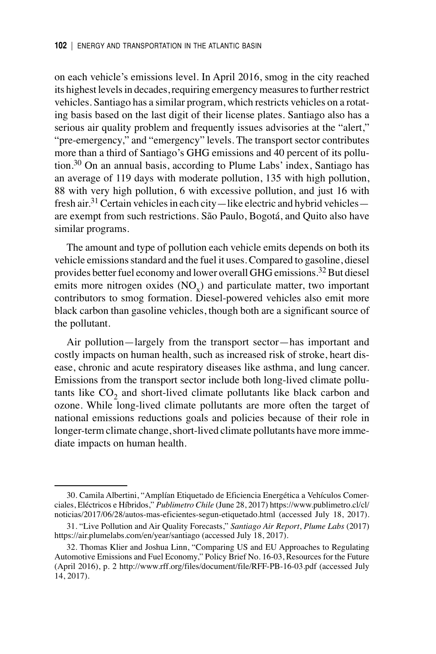on each vehicle's emissions level. In April 2016, smog in the city reached its highest levels in decades, requiring emergency measures to further restrict vehicles. Santiago has a similar program, which restricts vehicles on a rotating basis based on the last digit of their license plates. Santiago also has a serious air quality problem and frequently issues advisories at the "alert," "pre-emergency," and "emergency" levels. The transport sector contributes more than a third of Santiago's GHG emissions and 40 percent of its pollution. <sup>30</sup> On an annual basis, according to Plume Labs' index, Santiago has an average of 119 days with moderate pollution, 135 with high pollution, 88 with very high pollution, 6 with excessive pollution, and just 16 with fresh air.<sup>31</sup> Certain vehicles in each city—like electric and hybrid vehicles are exempt from such restrictions. São Paulo, Bogotá, and Quito also have similar programs.

The amount and type of pollution each vehicle emits depends on both its vehicle emissions standard and the fuel it uses. Compared to gasoline, diesel provides better fuel economy and lower overall GHG emissions.<sup>32</sup> But diesel emits more nitrogen oxides  $(NO<sub>x</sub>)$  and particulate matter, two important contributors to smog formation. Diesel-powered vehicles also emit more black carbon than gasoline vehicles, though both are a significant source of the pollutant.

Air pollution—largely from the transport sector—has important and costly impacts on human health, such as increased risk of stroke, heart disease, chronic and acute respiratory diseases like asthma, and lung cancer. Emissions from the transport sector include both long-lived climate pollutants like  $CO<sub>2</sub>$  and short-lived climate pollutants like black carbon and ozone. While long-lived climate pollutants are more often the target of national emissions reductions goals and policies because of their role in longer-term climate change, short-lived climate pollutants have more immediate impacts on human health.

<sup>30.</sup> Camila Albertini, "Amplían Etiquetado de Eficiencia Energética a Vehículos Comerciales, Eléctricos e Híbridos," *Publimetro Chile* (June 28, 2017) https://www.publimetro.cl/cl/ noticias/2017/06/28/autos-mas-eficientes-segun-etiquetado.html (accessed July 18, 2017).

<sup>31.</sup> "Live Pollution and Air Quality Forecasts," *Santiago Air Report*, *Plume Labs* (2017) https://air.plumelabs.com/en/year/santiago (accessed July 18, 2017).

<sup>32.</sup> Thomas Klier and Joshua Linn, "Comparing US and EU Approaches to Regulating Automotive Emissions and Fuel Economy," Policy Brief No. 16-03, Resources for the Future (April 2016), p. 2 http://www.rff.org/files/document/file/RFF-PB-16-03.pdf (accessed July 14, 2017).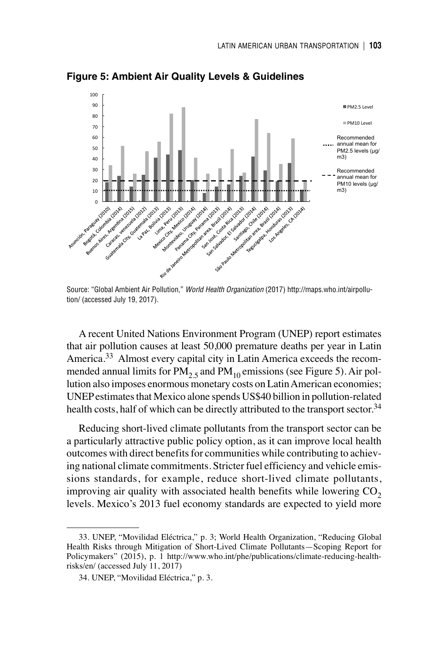

**Figure 5: Ambient Air Quality Levels & Guidelines**

A recent United Nations Environment Program (UNEP) report estimates that air pollution causes at least 50,000 premature deaths per year in Latin America.<sup>33</sup> Almost every capital city in Latin America exceeds the recommended annual limits for  $PM_{2.5}$  and  $PM_{10}$  emissions (see Figure 5). Air pollution also imposes enormous monetary costs on LatinAmerican economies; UNEPestimatesthat Mexico alone spends US\$40 billion in pollution-related health costs, half of which can be directly attributed to the transport sector.<sup>34</sup>

Reducing short-lived climate pollutants from the transport sector can be a particularly attractive public policy option, as it can improve local health outcomes with direct benefits for communities while contributing to achieving national climate commitments. Stricter fuel efficiency and vehicle emissions standards, for example, reduce short-lived climate pollutants, improving air quality with associated health benefits while lowering  $CO<sub>2</sub>$ levels. Mexico's 2013 fuel economy standards are expected to yield more

tion/ (accessed July 19, 2017).

<sup>33.</sup> UNEP, "Movilidad Eléctrica," p. 3; World Health Organization, "Reducing Global Health Risks through Mitigation of Short-Lived Climate Pollutants—Scoping Report for Policymakers" (2015), p. 1 http://www.who.int/phe/publications/climate-reducing-healthrisks/en/ (accessed July 11, 2017)

<sup>34.</sup> UNEP, "Movilidad Eléctrica," p. 3.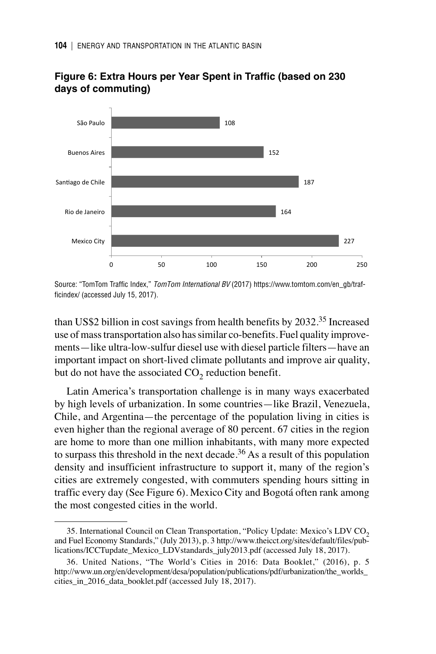



than US\$2 billion in cost savings from health benefits by 2032.<sup>35</sup> Increased use of masstransportation also hassimilar co-benefits. Fuel quality improvements—like ultra-low-sulfur diesel use with diesel particle filters—have an important impact on short-lived climate pollutants and improve air quality, but do not have the associated  $CO<sub>2</sub>$  reduction benefit.

Latin America's transportation challenge is in many ways exacerbated by high levels of urbanization. In some countries—like Brazil, Venezuela, Chile, and Argentina—the percentage of the population living in cities is even higher than the regional average of 80 percent. 67 cities in the region are home to more than one million inhabitants, with many more expected to surpass this threshold in the next decade. <sup>36</sup> As a result of this population density and insufficient infrastructure to support it, many of the region's cities are extremely congested, with commuters spending hours sitting in traffic every day (See Figure 6). Mexico City and Bogotá often rank among the most congested cities in the world.

Source: "TomTom Traffic Index," *TomTom International BV* (2017) https://www.tomtom.com/en\_gb/trafficindex/ (accessed July 15, 2017).

<sup>35.</sup> International Council on Clean Transportation, "Policy Update: Mexico's LDV CO<sub>2</sub> and Fuel Economy Standards," (July 2013), p. 3 http://www.theicct.org/sites/default/files/publications/ICCTupdate\_Mexico\_LDVstandards\_july2013.pdf (accessed July 18, 2017).

<sup>36.</sup> United Nations, "The World's Cities in 2016: Data Booklet," (2016), p. 5 http://www.un.org/en/development/desa/population/publications/pdf/urbanization/the\_worlds\_ cities\_in\_2016\_data\_booklet.pdf (accessed July 18, 2017).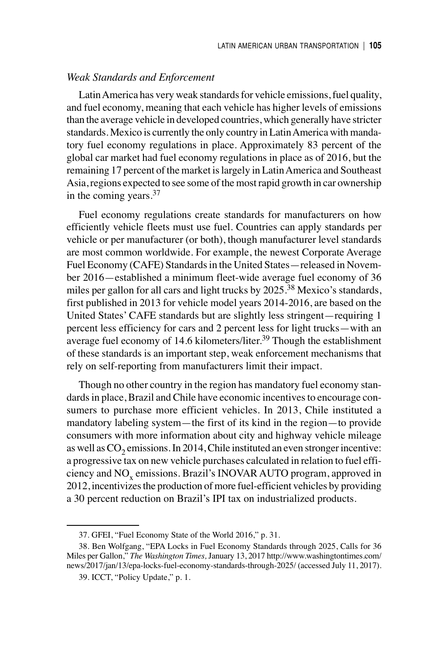#### *Weak Standards and Enforcement*

Latin America has very weak standards for vehicle emissions, fuel quality, and fuel economy, meaning that each vehicle has higher levels of emissions than the average vehicle in developed countries, which generally have stricter standards. Mexico is currently the only country in Latin America with mandatory fuel economy regulations in place. Approximately 83 percent of the global car market had fuel economy regulations in place as of 2016, but the remaining 17 percent of the market is largely in Latin America and Southeast Asia, regions expected to see some of the most rapid growth in car ownership in the coming years. 37

Fuel economy regulations create standards for manufacturers on how efficiently vehicle fleets must use fuel. Countries can apply standards per vehicle or per manufacturer (or both), though manufacturer level standards are most common worldwide. For example, the newest Corporate Average Fuel Economy (CAFE) Standards in the United States—released in November 2016—established a minimum fleet-wide average fuel economy of 36 miles per gallon for all cars and light trucks by 2025. <sup>38</sup> Mexico's standards, first published in 2013 for vehicle model years 2014-2016, are based on the United States' CAFE standards but are slightly less stringent—requiring 1 percent less efficiency for cars and 2 percent less for light trucks—with an average fuel economy of 14.6 kilometers/liter.<sup>39</sup> Though the establishment of these standards is an important step, weak enforcement mechanisms that rely on self-reporting from manufacturers limit their impact.

Though no other country in the region has mandatory fuel economy standards in place, Brazil and Chile have economic incentives to encourage consumers to purchase more efficient vehicles. In 2013, Chile instituted a mandatory labeling system—the first of its kind in the region—to provide consumers with more information about city and highway vehicle mileage as well as  $CO<sub>2</sub>$  emissions. In 2014, Chile instituted an even stronger incentive: a progressive tax on new vehicle purchases calculated in relation to fuel efficiency and NO<sub>v</sub> emissions. Brazil's INOVAR AUTO program, approved in 2012, incentivizes the production of more fuel-efficient vehicles by providing a 30 percent reduction on Brazil's IPI tax on industrialized products.

<sup>37.</sup> GFEI, "Fuel Economy State of the World 2016," p. 31.

<sup>38.</sup> Ben Wolfgang, "EPA Locks in Fuel Economy Standards through 2025, Calls for 36 Miles per Gallon," *The Washington Times,* January 13, 2017 http://www.washingtontimes.com/ news/2017/jan/13/epa-locks-fuel-economy-standards-through-2025/ (accessed July 11, 2017).

<sup>39.</sup> ICCT, "Policy Update," p. 1.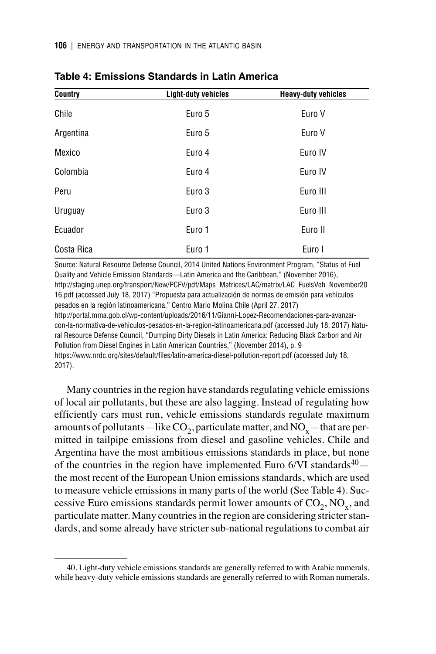| Country    | <b>Light-duty vehicles</b> | <b>Heavy-duty vehicles</b> |
|------------|----------------------------|----------------------------|
| Chile      | Euro 5                     | Euro V                     |
| Argentina  | Euro 5                     | Euro V                     |
| Mexico     | Euro 4                     | Euro IV                    |
| Colombia   | Euro 4                     | Euro IV                    |
| Peru       | Euro 3                     | Euro III                   |
| Uruguay    | Euro 3                     | Euro III                   |
| Ecuador    | Euro 1                     | Euro II                    |
| Costa Rica | Euro 1                     | Euro I                     |

#### **Table 4: Emissions Standards in Latin America**

Source: Natural Resource Defense Council, 2014 United Nations Environment Program, "Status of Fuel Quality and Vehicle Emission Standards—Latin America and the Caribbean," (November 2016), http://staging.unep.org/transport/New/PCFV/pdf/Maps\_Matrices/LAC/matrix/LAC\_FuelsVeh\_November20 16.pdf (accessed July 18, 2017) "Propuesta para actualización de normas de emisión para vehículos pesados en la región latinoamericana," Centro Mario Molina Chile (April 27, 2017) http://portal.mma.gob.cl/wp-content/uploads/2016/11/Gianni-Lopez-Recomendaciones-para-avanzarcon-la-normativa-de-vehiculos-pesados-en-la-region-latinoamericana.pdf (accessed July 18, 2017) Natural Resource Defense Council, "Dumping Dirty Diesels in Latin America: Reducing Black Carbon and Air Pollution from Diesel Engines in Latin American Countries," (November 2014), p. 9 https://www.nrdc.org/sites/default/files/latin-america-diesel-pollution-report.pdf (accessed July 18, 2017).

Many countries in the region have standards regulating vehicle emissions of local air pollutants, but these are also lagging. Instead of regulating how efficiently cars must run, vehicle emissions standards regulate maximum amounts of pollutants—like  $CO_2$ , particulate matter, and  $NO<sub>x</sub>$ —that are permitted in tailpipe emissions from diesel and gasoline vehicles. Chile and Argentina have the most ambitious emissions standards in place, but none of the countries in the region have implemented Euro  $6/\text{VI}$  standards<sup>40</sup> the most recent of the European Union emissions standards, which are used to measure vehicle emissions in many parts of the world (See Table 4). Successive Euro emissions standards permit lower amounts of  $CO<sub>2</sub>$ , NO<sub>x</sub>, and particulate matter. Many countries in the region are considering stricter standards, and some already have stricter sub-national regulations to combat air

<sup>40.</sup> Light-duty vehicle emissions standards are generally referred to with Arabic numerals, while heavy-duty vehicle emissions standards are generally referred to with Roman numerals.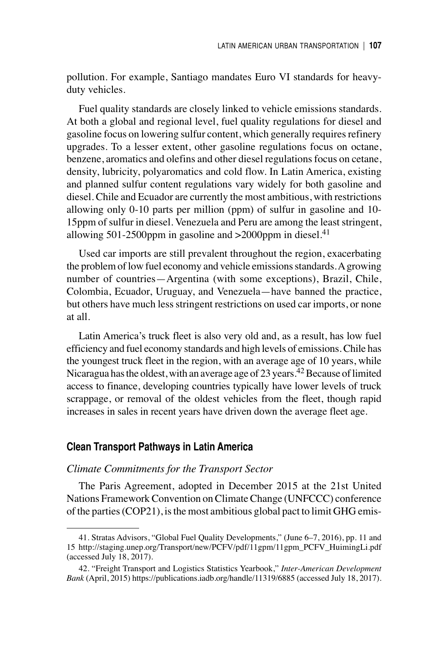pollution. For example, Santiago mandates Euro VI standards for heavyduty vehicles.

Fuel quality standards are closely linked to vehicle emissions standards. At both a global and regional level, fuel quality regulations for diesel and gasoline focus on lowering sulfur content, which generally requires refinery upgrades. To a lesser extent, other gasoline regulations focus on octane, benzene, aromatics and olefins and other diesel regulations focus on cetane, density, lubricity, polyaromatics and cold flow. In Latin America, existing and planned sulfur content regulations vary widely for both gasoline and diesel. Chile and Ecuador are currently the most ambitious, with restrictions allowing only 0-10 parts per million (ppm) of sulfur in gasoline and 10- 15ppm of sulfur in diesel. Venezuela and Peru are among the least stringent, allowing 501-2500 ppm in gasoline and  $>$ 2000 ppm in diesel.<sup>41</sup>

Used car imports are still prevalent throughout the region, exacerbating the problem of low fuel economy and vehicle emissions standards. A growing number of countries—Argentina (with some exceptions), Brazil, Chile, Colombia, Ecuador, Uruguay, and Venezuela—have banned the practice, but others have much less stringent restrictions on used car imports, or none at all.

Latin America's truck fleet is also very old and, as a result, has low fuel efficiency and fuel economy standards and high levels of emissions.Chile has the youngest truck fleet in the region, with an average age of 10 years, while Nicaragua has the oldest, with an average age of 23 years.<sup>42</sup> Because of limited access to finance, developing countries typically have lower levels of truck scrappage, or removal of the oldest vehicles from the fleet, though rapid increases in sales in recent years have driven down the average fleet age.

## **Clean Transport Pathways in Latin America**

#### *Climate Commitments for the Transport Sector*

The Paris Agreement, adopted in December 2015 at the 21st United Nations FrameworkConvention onClimateChange (UNFCCC) conference ofthe parties(COP21), isthe most ambitious global pact to limit GHG emis-

<sup>41.</sup> Stratas Advisors, "Global Fuel Quality Developments," (June 6–7, 2016), pp. 11 and 15 http://staging.unep.org/Transport/new/PCFV/pdf/11gpm/11gpm\_PCFV\_HuimingLi.pdf (accessed July 18, 2017).

<sup>42.</sup> "Freight Transport and Logistics Statistics Yearbook," *Inter-American Development Bank* (April, 2015) https://publications.iadb.org/handle/11319/6885 (accessed July 18, 2017).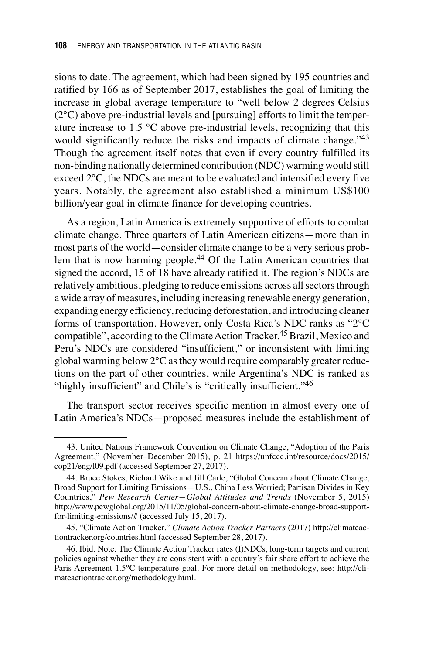sions to date. The agreement, which had been signed by 195 countries and ratified by 166 as of September 2017, establishes the goal of limiting the increase in global average temperature to "well below 2 degrees Celsius (2°C) above pre-industrial levels and [pursuing] efforts to limit the temperature increase to 1.5 °C above pre-industrial levels, recognizing that this would significantly reduce the risks and impacts of climate change."<sup>43</sup> Though the agreement itself notes that even if every country fulfilled its non-binding nationally determined contribution (NDC) warming would still exceed 2°C, the NDCs are meant to be evaluated and intensified every five years. Notably, the agreement also established a minimum US\$100 billion/year goal in climate finance for developing countries.

As a region, Latin America is extremely supportive of efforts to combat climate change. Three quarters of Latin American citizens—more than in most parts of the world—consider climate change to be a very serious problem that is now harming people. <sup>44</sup> Of the Latin American countries that signed the accord, 15 of 18 have already ratified it. The region's NDCs are relatively ambitious, pledging to reduce emissions across all sectors through a wide array of measures, including increasing renewable energy generation, expanding energy efficiency, reducing deforestation, and introducing cleaner forms of transportation. However, only Costa Rica's NDC ranks as "2°C compatible", according to the Climate Action Tracker.<sup>45</sup> Brazil, Mexico and Peru's NDCs are considered "insufficient," or inconsistent with limiting global warming below 2°C asthey would require comparably greater reductions on the part of other countries, while Argentina's NDC is ranked as "highly insufficient" and Chile's is "critically insufficient."<sup>46</sup>

The transport sector receives specific mention in almost every one of Latin America's NDCs—proposed measures include the establishment of

<sup>43.</sup> United Nations Framework Convention on Climate Change, "Adoption of the Paris Agreement," (November–December 2015), p. 21 https://unfccc.int/resource/docs/2015/ cop21/eng/l09.pdf (accessed September 27, 2017).

<sup>44.</sup> Bruce Stokes, Richard Wike and Jill Carle, "Global Concern about Climate Change, Broad Support for Limiting Emissions—U.S., China Less Worried; Partisan Divides in Key Countries," *Pew Research Center—Global Attitudes and Trends* (November 5, 2015) http://www.pewglobal.org/2015/11/05/global-concern-about-climate-change-broad-supportfor-limiting-emissions/# (accessed July 15, 2017).

<sup>45.</sup> "Climate Action Tracker," *Climate Action Tracker Partners* (2017) http://climateactiontracker.org/countries.html (accessed September 28, 2017).

<sup>46.</sup> Ibid. Note: The Climate Action Tracker rates (I)NDCs, long-term targets and current policies against whether they are consistent with a country's fair share effort to achieve the Paris Agreement 1.5°C temperature goal. For more detail on methodology, see: http://climateactiontracker.org/methodology.html.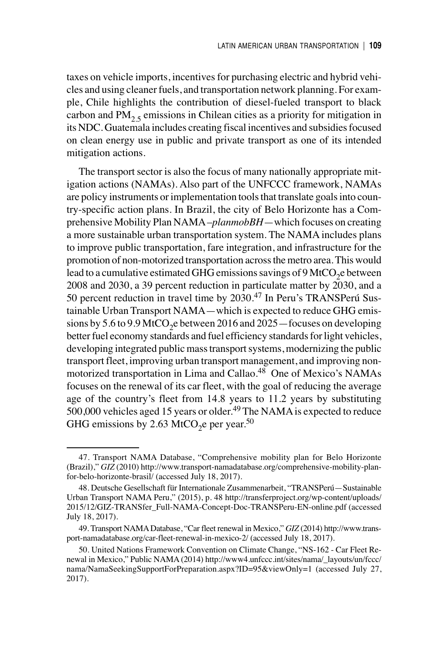taxes on vehicle imports, incentives for purchasing electric and hybrid vehicles and using cleaner fuels, and transportation network planning. For example, Chile highlights the contribution of diesel-fueled transport to black carbon and  $PM<sub>2.5</sub>$  emissions in Chilean cities as a priority for mitigation in its NDC. Guatemala includes creating fiscal incentives and subsidies focused on clean energy use in public and private transport as one of its intended mitigation actions.

The transport sector is also the focus of many nationally appropriate mitigation actions (NAMAs). Also part of the UNFCCC framework, NAMAs are policy instruments or implementation tools that translate goals into country-specific action plans. In Brazil, the city of Belo Horizonte has a Comprehensive Mobility Plan NAMA–*planmobBH*—which focuses on creating a more sustainable urban transportation system. The NAMA includes plans to improve public transportation, fare integration, and infrastructure for the promotion of non-motorized transportation acrossthe metro area.This would lead to a cumulative estimated GHG emissions savings of  $9$  MtCO<sub>2</sub>e between 2008 and 2030, a 39 percent reduction in particulate matter by  $2030$ , and a 50 percent reduction in travel time by 2030. <sup>47</sup> In Peru's TRANSPerú Sustainable Urban Transport NAMA—which is expected to reduce GHG emissions by  $5.6$  to  $9.9$  MtCO<sub>2</sub>e between 2016 and 2025—focuses on developing better fuel economy standards and fuel efficiency standards for light vehicles, developing integrated public mass transport systems, modernizing the public transport fleet, improving urban transport management, and improving nonmotorized transportation in Lima and Callao. <sup>48</sup> One of Mexico's NAMAs focuses on the renewal of its car fleet, with the goal of reducing the average age of the country's fleet from 14.8 years to 11.2 years by substituting 500,000 vehicles aged 15 years or older. <sup>49</sup> The NAMAis expected to reduce GHG emissions by 2.63 MtCO<sub>2</sub>e per year.<sup>50</sup>

<sup>47.</sup> Transport NAMA Database, "Comprehensive mobility plan for Belo Horizonte (Brazil)," *GIZ* (2010) http://www.transport-namadatabase.org/comprehensive-mobility-planfor-belo-horizonte-brasil/ (accessed July 18, 2017).

<sup>48.</sup> Deutsche Gesellschaft für Internationale Zusammenarbeit, "TRANSPerú—Sustainable Urban Transport NAMA Peru," (2015), p. 48 http://transferproject.org/wp-content/uploads/ 2015/12/GIZ-TRANSfer\_Full-NAMA-Concept-Doc-TRANSPeru-EN-online.pdf (accessed July 18, 2017).

<sup>49.</sup> Transport NAMADatabase, "Car fleet renewal in Mexico," *GIZ* (2014) http://www.transport-namadatabase.org/car-fleet-renewal-in-mexico-2/ (accessed July 18, 2017).

<sup>50.</sup> United Nations Framework Convention on Climate Change, "NS-162 - Car Fleet Renewal in Mexico," Public NAMA (2014) http://www4.unfccc.int/sites/nama/\_layouts/un/fccc/ nama/NamaSeekingSupportForPreparation.aspx?ID=95&viewOnly=1 (accessed July 27, 2017).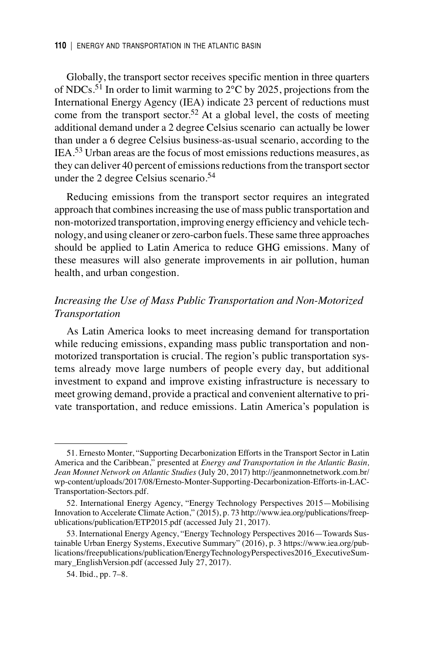Globally, the transport sector receives specific mention in three quarters of NDCs.<sup>51</sup> In order to limit warming to  $2^{\circ}$ C by 2025, projections from the International Energy Agency (IEA) indicate 23 percent of reductions must come from the transport sector.<sup>52</sup> At a global level, the costs of meeting additional demand under a 2 degree Celsius scenario can actually be lower than under a 6 degree Celsius business-as-usual scenario, according to the IEA.<sup>53</sup> Urban areas are the focus of most emissions reductions measures, as they can deliver 40 percent of emissions reductions from the transport sector under the 2 degree Celsius scenario. 54

Reducing emissions from the transport sector requires an integrated approach that combines increasing the use of mass public transportation and non-motorized transportation, improving energy efficiency and vehicle technology, and using cleaner or zero-carbon fuels.These same three approaches should be applied to Latin America to reduce GHG emissions. Many of these measures will also generate improvements in air pollution, human health, and urban congestion.

# *Increasing the Use of Mass Public Transportation and Non-Motorized Transportation*

As Latin America looks to meet increasing demand for transportation while reducing emissions, expanding mass public transportation and nonmotorized transportation is crucial. The region's public transportation systems already move large numbers of people every day, but additional investment to expand and improve existing infrastructure is necessary to meet growing demand, provide a practical and convenient alternative to private transportation, and reduce emissions. Latin America's population is

<sup>51.</sup> Ernesto Monter, "Supporting Decarbonization Efforts in the Transport Sector in Latin America and the Caribbean," presented at *Energy and Transportation in the Atlantic Basin, Jean Monnet Network on Atlantic Studies* (July 20, 2017) http://jeanmonnetnetwork.com.br/ wp-content/uploads/2017/08/Ernesto-Monter-Supporting-Decarbonization-Efforts-in-LAC-Transportation-Sectors.pdf.

<sup>52.</sup> International Energy Agency, "Energy Technology Perspectives 2015—Mobilising Innovation to Accelerate Climate Action," (2015), p. 73 http://www.iea.org/publications/freepublications/publication/ETP2015.pdf (accessed July 21, 2017).

<sup>53.</sup> International Energy Agency, "Energy Technology Perspectives 2016—Towards Sustainable Urban Energy Systems, Executive Summary" (2016), p. 3 https://www.iea.org/publications/freepublications/publication/EnergyTechnologyPerspectives2016\_ExecutiveSummary\_EnglishVersion.pdf (accessed July 27, 2017).

<sup>54.</sup> Ibid., pp. 7–8.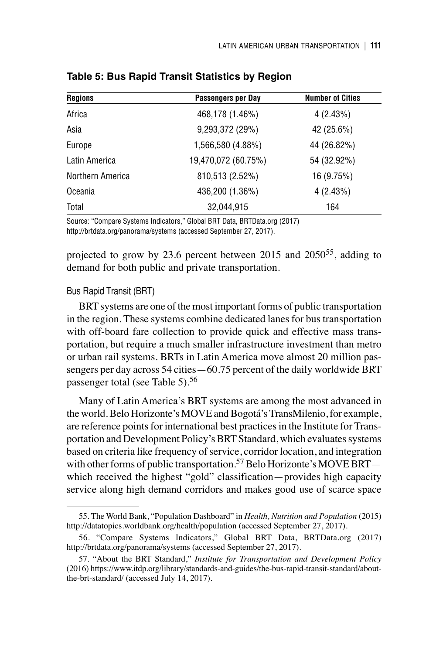| <b>Regions</b>   | <b>Passengers per Day</b> | <b>Number of Cities</b> |
|------------------|---------------------------|-------------------------|
| Africa           | 468,178 (1.46%)           | $4(2.43\%)$             |
| Asia             | 9,293,372 (29%)           | 42 (25.6%)              |
| Europe           | 1,566,580 (4.88%)         | 44 (26.82%)             |
| Latin America    | 19,470,072 (60.75%)       | 54 (32.92%)             |
| Northern America | 810,513 (2.52%)           | 16(9.75%)               |
| Oceania          | 436,200 (1.36%)           | 4(2.43%)                |
| Total            | 32,044,915                | 164                     |

**Table 5: Bus Rapid Transit Statistics by Region**

Source: "Compare Systems Indicators," Global BRT Data, BRTData.org (2017) http://brtdata.org/panorama/systems (accessed September 27, 2017).

projected to grow by 23.6 percent between 2015 and  $2050^{55}$ , adding to demand for both public and private transportation.

#### Bus Rapid Transit (BRT)

BRT systems are one of the most important forms of public transportation in the region. These systems combine dedicated lanes for bus transportation with off-board fare collection to provide quick and effective mass transportation, but require a much smaller infrastructure investment than metro or urban rail systems. BRTs in Latin America move almost 20 million passengers per day across 54 cities—60.75 percent of the daily worldwide BRT passenger total (see Table 5). 56

Many of Latin America's BRT systems are among the most advanced in the world. Belo Horizonte's MOVE and Bogotá's TransMilenio, for example, are reference points for international best practices in the Institute for Transportation and Development Policy's BRT Standard, which evaluates systems based on criteria like frequency of service, corridor location, and integration with other forms of public transportation.<sup>57</sup> Belo Horizonte's MOVE BRTwhich received the highest "gold" classification—provides high capacity service along high demand corridors and makes good use of scarce space

<sup>55.</sup> The World Bank, "Population Dashboard" in *Health, Nutrition and Population* (2015) http://datatopics.worldbank.org/health/population (accessed September 27, 2017).

<sup>56.</sup> "Compare Systems Indicators," Global BRT Data, BRTData.org (2017) http://brtdata.org/panorama/systems (accessed September 27, 2017).

<sup>57.</sup> "About the BRT Standard," *Institute for Transportation and Development Policy* (2016) https://www.itdp.org/library/standards-and-guides/the-bus-rapid-transit-standard/aboutthe-brt-standard/ (accessed July 14, 2017).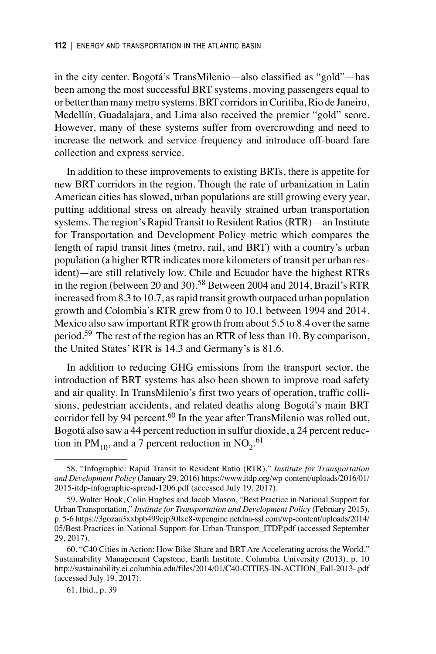in the city center. Bogotá's TransMilenio—also classified as "gold"—has been among the most successful BRT systems, moving passengers equal to or better than many metro systems. BRT corridors in Curitiba, Rio de Janeiro, Medellín, Guadalajara, and Lima also received the premier "gold" score. However, many of these systems suffer from overcrowding and need to increase the network and service frequency and introduce off-board fare collection and express service.

In addition to these improvements to existing BRTs, there is appetite for new BRT corridors in the region. Though the rate of urbanization in Latin American cities has slowed, urban populations are still growing every year, putting additional stress on already heavily strained urban transportation systems. The region's Rapid Transit to Resident Ratios (RTR)—an Institute for Transportation and Development Policy metric which compares the length of rapid transit lines (metro, rail, and BRT) with a country's urban population (a higher RTR indicates more kilometers of transit per urban resident)—are still relatively low. Chile and Ecuador have the highest RTRs in the region (between 20 and 30). <sup>58</sup> Between 2004 and 2014, Brazil's RTR increased from 8.3 to 10.7, as rapid transit growth outpaced urban population growth and Colombia's RTR grew from 0 to 10.1 between 1994 and 2014. Mexico also saw important RTR growth from about 5.5 to 8.4 over the same period.<sup>59</sup> The rest of the region has an RTR of less than 10. By comparison, the United States' RTR is 14.3 and Germany's is 81.6.

In addition to reducing GHG emissions from the transport sector, the introduction of BRT systems has also been shown to improve road safety and air quality. In TransMilenio's first two years of operation, traffic collisions, pedestrian accidents, and related deaths along Bogotá's main BRT corridor fell by 94 percent. <sup>60</sup> In the year after TransMilenio was rolled out, Bogotá also saw a 44 percent reduction in sulfur dioxide, a 24 percent reduction in  $PM_{10}$ , and a 7 percent reduction in  $NO_2$ .<sup>61</sup>

<sup>58.</sup> "Infographic: Rapid Transit to Resident Ratio (RTR)," *Institute for Transportation and Development Policy* (January 29, 2016) https://www.itdp.org/wp-content/uploads/2016/01/ 2015-itdp-infographic-spread-1206.pdf (accessed July 19, 2017).

<sup>59.</sup> Walter Hook, Colin Hughes and Jacob Mason, "Best Practice in National Support for Urban Transportation," *Institute for Transportation and Development Policy* (February 2015), p. 5-6 https://3gozaa3xxbpb499ejp30lxc8-wpengine.netdna-ssl.com/wp-content/uploads/2014/ 05/Best-Practices-in-National-Support-for-Urban-Transport\_ITDP.pdf (accessed September 29, 2017).

<sup>60.</sup> "C40 Cities in Action: How Bike-Share and BRTAre Accelerating across the World," Sustainability Management Capstone, Earth Institute, Columbia University (2013), p. 10 http://sustainability.ei.columbia.edu/files/2014/01/C40-CITIES-IN-ACTION\_Fall-2013-.pdf (accessed July 19, 2017).

<sup>61.</sup> Ibid., p. 39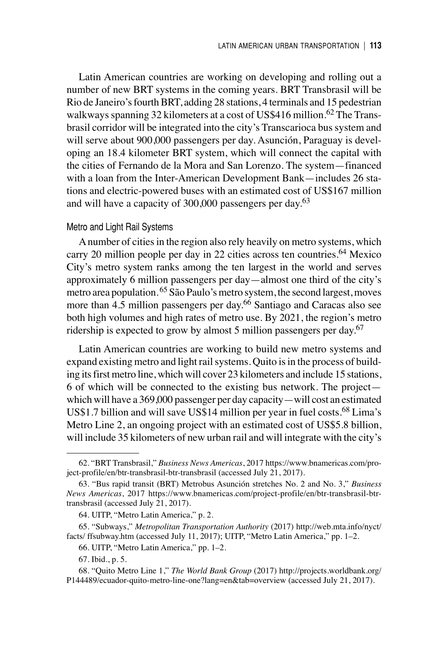Latin American countries are working on developing and rolling out a number of new BRT systems in the coming years. BRT Transbrasil will be Rio de Janeiro's fourth BRT, adding 28 stations, 4 terminals and 15 pedestrian walkways spanning 32 kilometers at a cost of US\$416 million.<sup>62</sup> The Transbrasil corridor will be integrated into the city's Transcarioca bussystem and will serve about 900,000 passengers per day. Asunción, Paraguay is developing an 18.4 kilometer BRT system, which will connect the capital with the cities of Fernando de la Mora and San Lorenzo. The system—financed with a loan from the Inter-American Development Bank—includes 26 stations and electric-powered buses with an estimated cost of US\$167 million and will have a capacity of 300,000 passengers per day.<sup>63</sup>

## Metro and Light Rail Systems

A number of cities in the region also rely heavily on metro systems, which carry 20 million people per day in 22 cities across ten countries. <sup>64</sup> Mexico City's metro system ranks among the ten largest in the world and serves approximately 6 million passengers per day—almost one third of the city's metro area population.  $65$  São Paulo's metro system, the second largest, moves more than 4.5 million passengers per day. <sup>66</sup> Santiago and Caracas also see both high volumes and high rates of metro use. By 2021, the region's metro ridership is expected to grow by almost 5 million passengers per day.<sup>67</sup>

Latin American countries are working to build new metro systems and expand existing metro and light rail systems. Quito is in the process of building its first metro line, which will cover 23 kilometers and include 15 stations, 6 of which will be connected to the existing bus network. The project which will have a 369,000 passenger per day capacity—will cost an estimated US\$1.7 billion and will save US\$14 million per year in fuel costs. <sup>68</sup> Lima's Metro Line 2, an ongoing project with an estimated cost of US\$5.8 billion, will include 35 kilometers of new urban rail and will integrate with the city's

<sup>62.</sup> "BRT Transbrasil," *Business News Americas*, 2017 https://www.bnamericas.com/project-profile/en/btr-transbrasil-btr-transbrasil (accessed July 21, 2017).

<sup>63.</sup> "Bus rapid transit (BRT) Metrobus Asunción stretches No. 2 and No. 3," *Business News Americas*, 2017 https://www.bnamericas.com/project-profile/en/btr-transbrasil-btrtransbrasil (accessed July 21, 2017).

<sup>64.</sup> UITP, "Metro Latin America," p. 2.

<sup>65.</sup> "Subways," *Metropolitan Transportation Authority* (2017) http://web.mta.info/nyct/ facts/ ffsubway.htm (accessed July 11, 2017); UITP, "Metro Latin America," pp. 1–2.

<sup>66.</sup> UITP, "Metro Latin America," pp. 1–2.

<sup>67.</sup> Ibid., p. 5.

<sup>68.</sup> "Quito Metro Line 1," *The World Bank Group* (2017) http://projects.worldbank.org/ P144489/ecuador-quito-metro-line-one?lang=en&tab=overview (accessed July 21, 2017).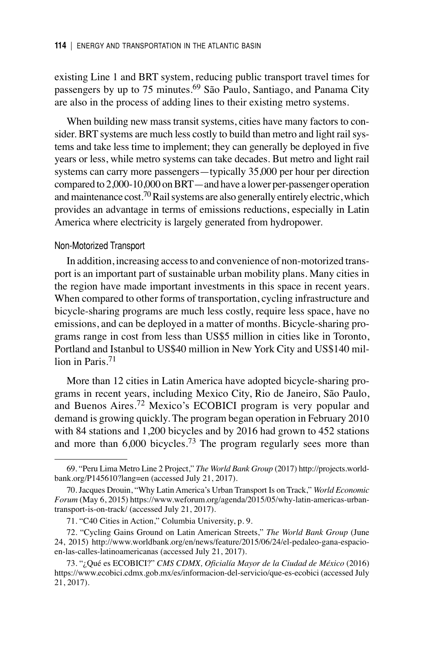existing Line 1 and BRT system, reducing public transport travel times for passengers by up to 75 minutes. <sup>69</sup> São Paulo, Santiago, and Panama City are also in the process of adding lines to their existing metro systems.

When building new mass transit systems, cities have many factors to consider. BRT systems are much less costly to build than metro and light rail systems and take less time to implement; they can generally be deployed in five years or less, while metro systems can take decades. But metro and light rail systems can carry more passengers—typically 35,000 per hour per direction compared to 2,000-10,000 onBRT—and have a lower per-passenger operation and maintenance cost.<sup>70</sup> Rail systems are also generally entirely electric, which provides an advantage in terms of emissions reductions, especially in Latin America where electricity is largely generated from hydropower.

## Non-Motorized Transport

In addition, increasing accessto and convenience of non-motorized transport is an important part of sustainable urban mobility plans. Many cities in the region have made important investments in this space in recent years. When compared to other forms of transportation, cycling infrastructure and bicycle-sharing programs are much less costly, require less space, have no emissions, and can be deployed in a matter of months. Bicycle-sharing programs range in cost from less than US\$5 million in cities like in Toronto, Portland and Istanbul to US\$40 million in New York City and US\$140 million in Paris. 71

More than 12 cities in Latin America have adopted bicycle-sharing programs in recent years, including Mexico City, Rio de Janeiro, São Paulo, and Buenos Aires.<sup>72</sup> Mexico's ECOBICI program is very popular and demand is growing quickly. The program began operation in February 2010 with 84 stations and 1,200 bicycles and by 2016 had grown to 452 stations and more than  $6,000$  bicycles.<sup>73</sup> The program regularly sees more than

<sup>69.</sup> "Peru Lima Metro Line 2 Project," *The World Bank Group* (2017) http://projects.worldbank.org/P145610?lang=en (accessed July 21, 2017).

<sup>70.</sup> Jacques Drouin, "Why Latin America's Urban Transport Is on Track," *World Economic Forum* (May 6, 2015) https://www.weforum.org/agenda/2015/05/why-latin-americas-urbantransport-is-on-track/ (accessed July 21, 2017).

<sup>71.</sup> "C40 Cities in Action," Columbia University, p. 9.

<sup>72.</sup> "Cycling Gains Ground on Latin American Streets," *The World Bank Group* (June 24, 2015) http://www.worldbank.org/en/news/feature/2015/06/24/el-pedaleo-gana-espacioen-las-calles-latinoamericanas (accessed July 21, 2017).

<sup>73.</sup> "¿Qué es ECOBICI?" *CMS CDMX, Oficialía Mayor de la Ciudad de México* (2016) https://www.ecobici.cdmx.gob.mx/es/informacion-del-servicio/que-es-ecobici (accessed July 21, 2017).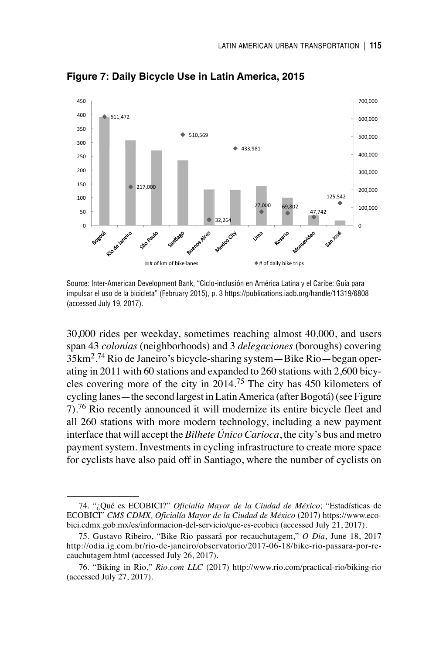

**Figure 7: Daily Bicycle Use in Latin America, 2015**

Source: Inter-American Development Bank, "Ciclo-inclusión en América Latina y el Caribe: Guía para impulsar el uso de la bicicleta" (February 2015), p. 3 https://publications.iadb.org/handle/11319/6808 (accessed July 19, 2017).

30,000 rides per weekday, sometimes reaching almost 40,000, and users span 43 *colonias* (neighborhoods) and 3 *delegaciones* (boroughs) covering 35km2. <sup>74</sup> Rio de Janeiro's bicycle-sharing system—Bike Rio—began operating in 2011 with 60 stations and expanded to 260 stations with 2,600 bicycles covering more of the city in 2014. <sup>75</sup> The city has 450 kilometers of cycling lanes—the second largest in Latin America (after Bogotá) (see Figure 7).<sup>76</sup> Rio recently announced it will modernize its entire bicycle fleet and all 260 stations with more modern technology, including a new payment interface that will accept the *Bilhete Único Carioca*, the city's bus and metro payment system. Investments in cycling infrastructure to create more space for cyclists have also paid off in Santiago, where the number of cyclists on

<sup>74.</sup> "¿Qué es ECOBICI?" *Oficialía Mayor de la Ciudad de México*; "Estadísticas de ECOBICI" *CMS CDMX, Oficialía Mayor de la Ciudad de México* (2017) https://www.ecobici.cdmx.gob.mx/es/informacion-del-servicio/que-es-ecobici (accessed July 21, 2017).

<sup>75.</sup> Gustavo Ribeiro, "Bike Rio passará por recauchutagem," *O Dia*, June 18, 2017 http://odia.ig.com.br/rio-de-janeiro/observatorio/2017-06-18/bike-rio-passara-por-recauchutagem.html (accessed July 26, 2017).

<sup>76.</sup> "Biking in Rio," *Rio.com LLC* (2017) http://www.rio.com/practical-rio/biking-rio (accessed July 27, 2017).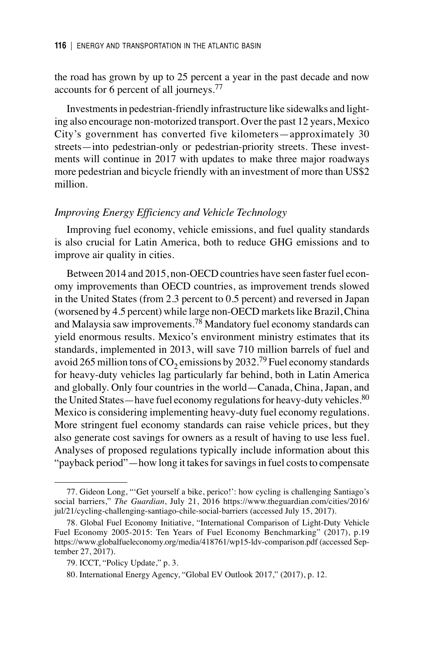the road has grown by up to 25 percent a year in the past decade and now accounts for 6 percent of all journeys. 77

Investmentsin pedestrian-friendly infrastructure like sidewalks and lighting also encourage non-motorized transport. Over the past 12 years, Mexico City's government has converted five kilometers—approximately 30 streets—into pedestrian-only or pedestrian-priority streets. These investments will continue in 2017 with updates to make three major roadways more pedestrian and bicycle friendly with an investment of more than US\$2 million.

#### *Improving Energy Efficiency and Vehicle Technology*

Improving fuel economy, vehicle emissions, and fuel quality standards is also crucial for Latin America, both to reduce GHG emissions and to improve air quality in cities.

Between 2014 and 2015, non-OECD countries have seen faster fuel economy improvements than OECD countries, as improvement trends slowed in the United States (from 2.3 percent to 0.5 percent) and reversed in Japan (worsened by 4.5 percent) while large non-OECD markets like Brazil, China and Malaysia saw improvements.<sup>78</sup> Mandatory fuel economy standards can yield enormous results. Mexico's environment ministry estimates that its standards, implemented in 2013, will save 710 million barrels of fuel and avoid 265 million tons of  $\mathrm{CO}_2$  emissions by 2032.<sup>79</sup> Fuel economy standards for heavy-duty vehicles lag particularly far behind, both in Latin America and globally. Only four countries in the world—Canada, China, Japan, and the United States—have fuel economy regulations for heavy-duty vehicles.<sup>80</sup> Mexico is considering implementing heavy-duty fuel economy regulations. More stringent fuel economy standards can raise vehicle prices, but they also generate cost savings for owners as a result of having to use less fuel. Analyses of proposed regulations typically include information about this "payback period"—how long it takes for savings in fuel costs to compensate

<sup>77.</sup> Gideon Long, "'Get yourself a bike, perico!': how cycling is challenging Santiago's social barriers," *The Guardian*, July 21, 2016 https://www.theguardian.com/cities/2016/ jul/21/cycling-challenging-santiago-chile-social-barriers (accessed July 15, 2017).

<sup>78.</sup> Global Fuel Economy Initiative, "International Comparison of Light-Duty Vehicle Fuel Economy 2005-2015: Ten Years of Fuel Economy Benchmarking" (2017), p.19 https://www.globalfueleconomy.org/media/418761/wp15-ldv-comparison.pdf (accessed September 27, 2017).

<sup>79.</sup> ICCT, "Policy Update," p. 3.

<sup>80.</sup> International Energy Agency, "Global EV Outlook 2017," (2017), p. 12.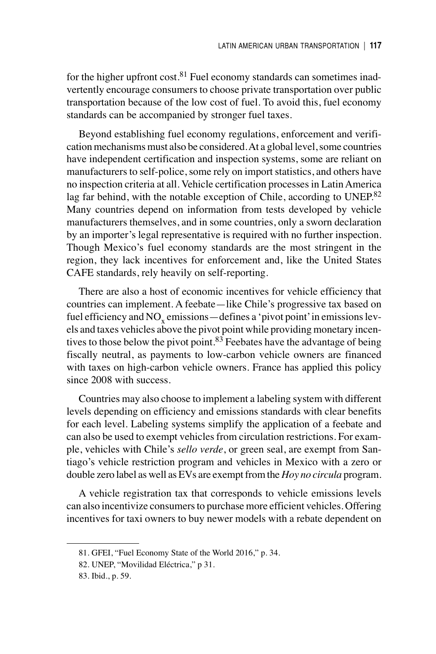for the higher upfront cost.<sup>81</sup> Fuel economy standards can sometimes inadvertently encourage consumers to choose private transportation over public transportation because of the low cost of fuel. To avoid this, fuel economy standards can be accompanied by stronger fuel taxes.

Beyond establishing fuel economy regulations, enforcement and verification mechanisms must also be considered. At a global level, some countries have independent certification and inspection systems, some are reliant on manufacturers to self-police, some rely on import statistics, and others have no inspection criteria at all. Vehicle certification processesin LatinAmerica lag far behind, with the notable exception of Chile, according to UNEP.82 Many countries depend on information from tests developed by vehicle manufacturers themselves, and in some countries, only a sworn declaration by an importer's legal representative is required with no further inspection. Though Mexico's fuel economy standards are the most stringent in the region, they lack incentives for enforcement and, like the United States CAFE standards, rely heavily on self-reporting.

There are also a host of economic incentives for vehicle efficiency that countries can implement. A feebate—like Chile's progressive tax based on fuel efficiency and NO<sub>y</sub> emissions—defines a 'pivot point' in emissions levels and taxes vehicles above the pivot point while providing monetary incentives to those below the pivot point. <sup>83</sup> Feebates have the advantage of being fiscally neutral, as payments to low-carbon vehicle owners are financed with taxes on high-carbon vehicle owners. France has applied this policy since 2008 with success.

Countries may also choose to implement a labeling system with different levels depending on efficiency and emissions standards with clear benefits for each level. Labeling systems simplify the application of a feebate and can also be used to exempt vehicles from circulation restrictions. For example, vehicles with Chile's *sello verde*, or green seal, are exempt from Santiago's vehicle restriction program and vehicles in Mexico with a zero or double zero label as well as EVs are exempt from the *Hoy no circula* program.

A vehicle registration tax that corresponds to vehicle emissions levels can also incentivize consumersto purchase more efficient vehicles. Offering incentives for taxi owners to buy newer models with a rebate dependent on

<sup>81.</sup> GFEI, "Fuel Economy State of the World 2016," p. 34.

<sup>82.</sup> UNEP, "Movilidad Eléctrica," p 31.

<sup>83.</sup> Ibid., p. 59.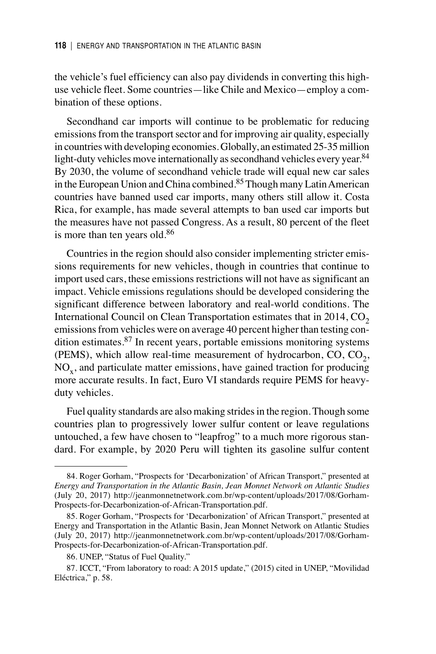the vehicle's fuel efficiency can also pay dividends in converting this highuse vehicle fleet. Some countries—like Chile and Mexico—employ a combination of these options.

Secondhand car imports will continue to be problematic for reducing emissions from the transport sector and for improving air quality, especially in countries with developing economies. Globally, an estimated 25-35million light-duty vehicles move internationally as secondhand vehicles every year.<sup>84</sup> By 2030, the volume of secondhand vehicle trade will equal new car sales in the European Union and China combined.<sup>85</sup> Though many Latin American countries have banned used car imports, many others still allow it. Costa Rica, for example, has made several attempts to ban used car imports but the measures have not passed Congress. As a result, 80 percent of the fleet is more than ten years old.<sup>86</sup>

Countries in the region should also consider implementing stricter emissions requirements for new vehicles, though in countries that continue to import used cars, these emissions restrictions will not have as significant an impact. Vehicle emissions regulations should be developed considering the significant difference between laboratory and real-world conditions. The International Council on Clean Transportation estimates that in  $2014$ ,  $CO<sub>2</sub>$ emissions from vehicles were on average 40 percent higher than testing condition estimates. <sup>87</sup> In recent years, portable emissions monitoring systems (PEMS), which allow real-time measurement of hydrocarbon,  $CO$ ,  $CO<sub>2</sub>$ ,  $NO<sub>x</sub>$ , and particulate matter emissions, have gained traction for producing more accurate results. In fact, Euro VI standards require PEMS for heavyduty vehicles.

Fuel quality standards are also making strides in the region. Though some countries plan to progressively lower sulfur content or leave regulations untouched, a few have chosen to "leapfrog" to a much more rigorous standard. For example, by 2020 Peru will tighten its gasoline sulfur content

<sup>84.</sup> Roger Gorham, "Prospects for 'Decarbonization' of African Transport," presented at *Energy and Transportation in the Atlantic Basin, Jean Monnet Network on Atlantic Studies* (July 20, 2017) http://jeanmonnetnetwork.com.br/wp-content/uploads/2017/08/Gorham-Prospects-for-Decarbonization-of-African-Transportation.pdf.

<sup>85.</sup> Roger Gorham, "Prospects for 'Decarbonization' of African Transport," presented at Energy and Transportation in the Atlantic Basin, Jean Monnet Network on Atlantic Studies (July 20, 2017) http://jeanmonnetnetwork.com.br/wp-content/uploads/2017/08/Gorham-Prospects-for-Decarbonization-of-African-Transportation.pdf.

<sup>86.</sup> UNEP, "Status of Fuel Quality."

<sup>87.</sup> ICCT, "From laboratory to road: A 2015 update," (2015) cited in UNEP, "Movilidad Eléctrica," p. 58.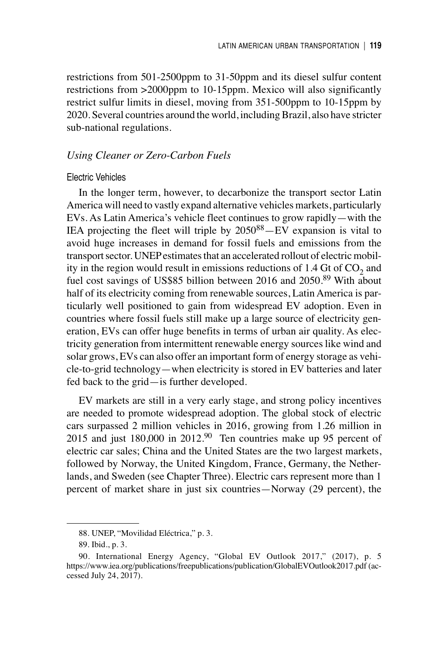restrictions from 501-2500ppm to 31-50ppm and its diesel sulfur content restrictions from >2000ppm to 10-15ppm. Mexico will also significantly restrict sulfur limits in diesel, moving from 351-500ppm to 10-15ppm by 2020. Several countries around the world, including Brazil, also have stricter sub-national regulations.

#### *Using Cleaner or Zero-Carbon Fuels*

## Electric Vehicles

In the longer term, however, to decarbonize the transport sector Latin America will need to vastly expand alternative vehicles markets, particularly EVs. As Latin America's vehicle fleet continues to grow rapidly—with the IEA projecting the fleet will triple by  $2050^{88} - \text{EV}$  expansion is vital to avoid huge increases in demand for fossil fuels and emissions from the transport sector. UNEP estimates that an accelerated rollout of electric mobility in the region would result in emissions reductions of  $1.4$  Gt of  $CO<sub>2</sub>$  and fuel cost savings of US\$85 billion between 2016 and 2050.<sup>89</sup> With about half of its electricity coming from renewable sources, Latin America is particularly well positioned to gain from widespread EV adoption. Even in countries where fossil fuels still make up a large source of electricity generation, EVs can offer huge benefits in terms of urban air quality. As electricity generation from intermittent renewable energy sourceslike wind and solar grows, EVs can also offer an important form of energy storage as vehicle-to-grid technology—when electricity is stored in EV batteries and later fed back to the grid—is further developed.

EV markets are still in a very early stage, and strong policy incentives are needed to promote widespread adoption. The global stock of electric cars surpassed 2 million vehicles in 2016, growing from 1.26 million in 2015 and just  $180,000$  in  $2012.<sup>90</sup>$  Ten countries make up 95 percent of electric car sales; China and the United States are the two largest markets, followed by Norway, the United Kingdom, France, Germany, the Netherlands, and Sweden (see Chapter Three). Electric cars represent more than 1 percent of market share in just six countries—Norway (29 percent), the

<sup>88.</sup> UNEP, "Movilidad Eléctrica," p. 3.

<sup>89.</sup> Ibid., p. 3.

<sup>90.</sup> International Energy Agency, "Global EV Outlook 2017," (2017), p. 5 https://www.iea.org/publications/freepublications/publication/GlobalEVOutlook2017.pdf (accessed July 24, 2017).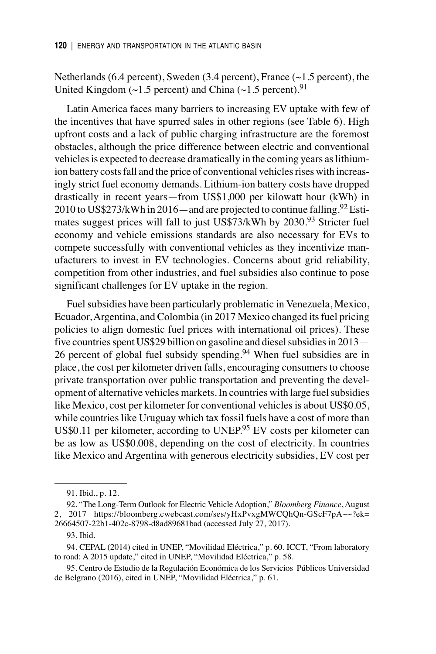Netherlands (6.4 percent), Sweden (3.4 percent), France (~1.5 percent), the United Kingdom ( $\sim$ 1.5 percent) and China ( $\sim$ 1.5 percent).<sup>91</sup>

Latin America faces many barriers to increasing EV uptake with few of the incentives that have spurred sales in other regions (see Table 6). High upfront costs and a lack of public charging infrastructure are the foremost obstacles, although the price difference between electric and conventional vehicles is expected to decrease dramatically in the coming years as lithiumion battery costs fall and the price of conventional vehicles rises with increasingly strict fuel economy demands. Lithium-ion battery costs have dropped drastically in recent years—from US\$1,000 per kilowatt hour (kWh) in 2010 to US\$273/kWh in 2016—and are projected to continue falling.<sup>92</sup> Estimates suggest prices will fall to just US\$73/kWh by 2030.<sup>93</sup> Stricter fuel economy and vehicle emissions standards are also necessary for EVs to compete successfully with conventional vehicles as they incentivize manufacturers to invest in EV technologies. Concerns about grid reliability, competition from other industries, and fuel subsidies also continue to pose significant challenges for EV uptake in the region.

Fuel subsidies have been particularly problematic in Venezuela, Mexico, Ecuador,Argentina, and Colombia (in 2017 Mexico changed itsfuel pricing policies to align domestic fuel prices with international oil prices). These five countries spent US\$29 billion on gasoline and diesel subsidies in  $2013-$ 26 percent of global fuel subsidy spending. <sup>94</sup> When fuel subsidies are in place, the cost per kilometer driven falls, encouraging consumers to choose private transportation over public transportation and preventing the development of alternative vehicles markets. In countries with large fuel subsidies like Mexico, cost per kilometer for conventional vehicles is about US\$0.05, while countries like Uruguay which tax fossil fuels have a cost of more than US\$0.11 per kilometer, according to UNEP.<sup>95</sup> EV costs per kilometer can be as low as US\$0.008, depending on the cost of electricity. In countries like Mexico and Argentina with generous electricity subsidies, EV cost per

<sup>91.</sup> Ibid., p. 12.

<sup>92.</sup> "The Long-Term Outlook for Electric Vehicle Adoption," *Bloomberg Finance*, August 2, 2017 https://bloomberg.cwebcast.com/ses/yHxPvxgMWCQhQn-GScF7pA~~?ek= 26664507-22b1-402c-8798-d8ad89681bad (accessed July 27, 2017).

<sup>93.</sup> Ibid.

<sup>94.</sup> CEPAL (2014) cited in UNEP, "Movilidad Eléctrica," p. 60. ICCT, "From laboratory to road: A 2015 update," cited in UNEP, "Movilidad Eléctrica," p. 58.

<sup>95.</sup> Centro de Estudio de la Regulación Económica de los Servicios Públicos Universidad de Belgrano (2016), cited in UNEP, "Movilidad Eléctrica," p. 61.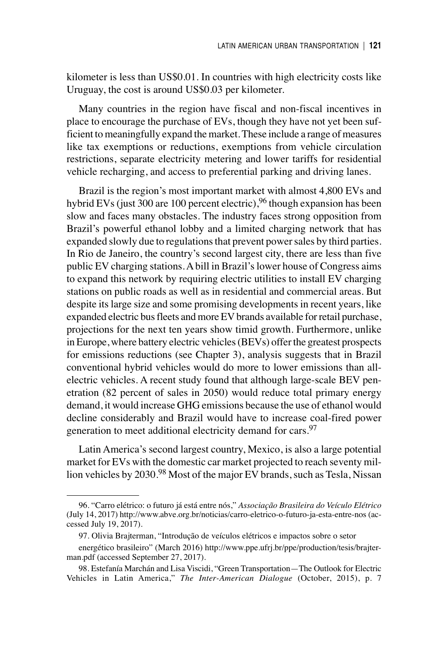kilometer is less than US\$0.01. In countries with high electricity costs like Uruguay, the cost is around US\$0.03 per kilometer.

Many countries in the region have fiscal and non-fiscal incentives in place to encourage the purchase of EVs, though they have not yet been sufficient to meaningfully expand the market.These include a range of measures like tax exemptions or reductions, exemptions from vehicle circulation restrictions, separate electricity metering and lower tariffs for residential vehicle recharging, and access to preferential parking and driving lanes.

Brazil is the region's most important market with almost 4,800 EVs and hybrid EVs (just 300 are 100 percent electric), <sup>96</sup> though expansion has been slow and faces many obstacles. The industry faces strong opposition from Brazil's powerful ethanol lobby and a limited charging network that has expanded slowly due to regulations that prevent power sales by third parties. In Rio de Janeiro, the country's second largest city, there are less than five public EV charging stations.Abill in Brazil'slower house of Congress aims to expand this network by requiring electric utilities to install EV charging stations on public roads as well as in residential and commercial areas. But despite its large size and some promising developments in recent years, like expanded electric bus fleets and more EV brands available for retail purchase, projections for the next ten years show timid growth. Furthermore, unlike in Europe, where battery electric vehicles(BEVs) offerthe greatest prospects for emissions reductions (see Chapter 3), analysis suggests that in Brazil conventional hybrid vehicles would do more to lower emissions than allelectric vehicles. A recent study found that although large-scale BEV penetration (82 percent of sales in 2050) would reduce total primary energy demand, it would increase GHG emissions because the use of ethanol would decline considerably and Brazil would have to increase coal-fired power generation to meet additional electricity demand for cars.<sup>97</sup>

Latin America's second largest country, Mexico, is also a large potential market for EVs with the domestic car market projected to reach seventy million vehicles by 2030.<sup>98</sup> Most of the major EV brands, such as Tesla, Nissan

<sup>96.</sup> "Carro elétrico: o futuro já está entre nós," *Associação Brasileira do Veículo Elétrico* (July 14, 2017) http://www.abve.org.br/noticias/carro-eletrico-o-futuro-ja-esta-entre-nos (accessed July 19, 2017).

<sup>97.</sup> Olivia Brajterman, "Introdução de veículos elétricos e impactos sobre o setor

energético brasileiro" (March 2016) http://www.ppe.ufrj.br/ppe/production/tesis/brajterman.pdf (accessed September 27, 2017).

<sup>98.</sup> Estefanía Marchán and Lisa Viscidi, "Green Transportation—The Outlook for Electric Vehicles in Latin America," *The Inter-American Dialogue* (October, 2015), p. 7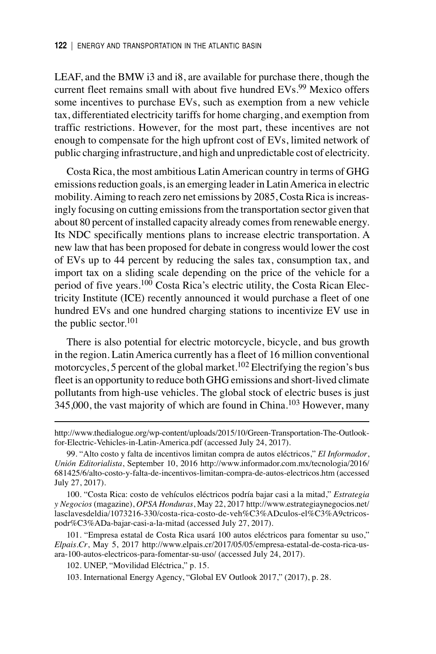LEAF, and the BMW i3 and i8, are available for purchase there, though the current fleet remains small with about five hundred EVs.<sup>99</sup> Mexico offers some incentives to purchase EVs, such as exemption from a new vehicle tax, differentiated electricity tariffs for home charging, and exemption from traffic restrictions. However, for the most part, these incentives are not enough to compensate for the high upfront cost of EVs, limited network of public charging infrastructure, and high and unpredictable cost of electricity.

Costa Rica, the most ambitious LatinAmerican country in terms of GHG emissions reduction goals, is an emerging leader in Latin America in electric mobility. Aiming to reach zero net emissions by 2085, Costa Rica is increasingly focusing on cutting emissions from the transportation sector given that about 80 percent of installed capacity already comes from renewable energy. Its NDC specifically mentions plans to increase electric transportation. A new law that has been proposed for debate in congress would lower the cost of EVs up to 44 percent by reducing the sales tax, consumption tax, and import tax on a sliding scale depending on the price of the vehicle for a period of five years. <sup>100</sup> Costa Rica's electric utility, the Costa Rican Electricity Institute (ICE) recently announced it would purchase a fleet of one hundred EVs and one hundred charging stations to incentivize EV use in the public sector. 101

There is also potential for electric motorcycle, bicycle, and bus growth in the region. LatinAmerica currently has a fleet of 16 million conventional motorcycles, 5 percent of the global market. <sup>102</sup> Electrifying the region's bus fleet is an opportunity to reduce both GHG emissions and short-lived climate pollutants from high-use vehicles. The global stock of electric buses is just 345,000, the vast majority of which are found in China.<sup>103</sup> However, many

101. "Empresa estatal de Costa Rica usará 100 autos eléctricos para fomentar su uso," *Elpais.Cr*, May 5, 2017 http://www.elpais.cr/2017/05/05/empresa-estatal-de-costa-rica-usara-100-autos-electricos-para-fomentar-su-uso/ (accessed July 24, 2017).

http://www.thedialogue.org/wp-content/uploads/2015/10/Green-Transportation-The-Outlookfor-Electric-Vehicles-in-Latin-America.pdf (accessed July 24, 2017).

<sup>99.</sup> "Alto costo y falta de incentivos limitan compra de autos eléctricos," *El Informador*, *Unión Editorialista*, September 10, 2016 http://www.informador.com.mx/tecnologia/2016/ 681425/6/alto-costo-y-falta-de-incentivos-limitan-compra-de-autos-electricos.htm (accessed July 27, 2017).

<sup>100.</sup> "Costa Rica: costo de vehículos eléctricos podría bajar casi a la mitad," *Estrategia y Negocios* (magazine), *OPSA Honduras*, May 22, 2017 http://www.estrategiaynegocios.net/ lasclavesdeldia/1073216-330/costa-rica-costo-de-veh%C3%ADculos-el%C3%A9ctricospodr%C3%ADa-bajar-casi-a-la-mitad (accessed July 27, 2017).

<sup>102.</sup> UNEP, "Movilidad Eléctrica," p. 15.

<sup>103.</sup> International Energy Agency, "Global EV Outlook 2017," (2017), p. 28.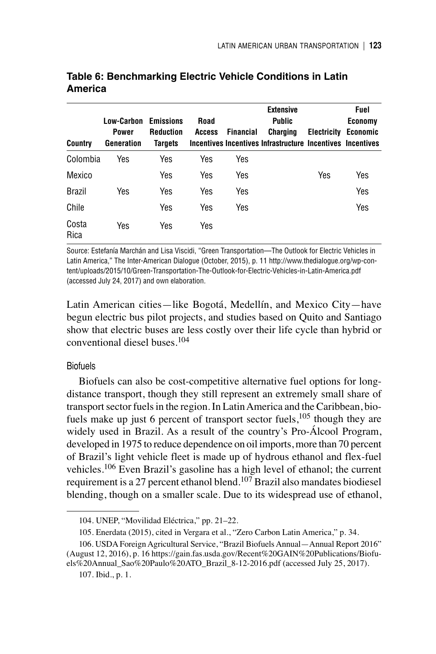| <b>Country</b> | Low-Carbon<br>Power<br>Generation | <b>Emissions</b><br><b>Reduction</b><br>Targets | Road<br><b>Access</b> | <b>Financial</b> | <b>Extensive</b><br><b>Public</b><br><b>Charging</b><br>Incentives Incentives Infrastructure Incentives Incentives | <b>Electricity</b> | Fuel<br>Economy<br>Economic |
|----------------|-----------------------------------|-------------------------------------------------|-----------------------|------------------|--------------------------------------------------------------------------------------------------------------------|--------------------|-----------------------------|
| Colombia       | Yes                               | Yes                                             | Yes                   | Yes              |                                                                                                                    |                    |                             |
| Mexico         |                                   | Yes                                             | Yes                   | Yes              |                                                                                                                    | Yes                | Yes                         |
| <b>Brazil</b>  | Yes                               | Yes                                             | Yes                   | Yes              |                                                                                                                    |                    | Yes                         |
| Chile          |                                   | Yes                                             | Yes                   | Yes              |                                                                                                                    |                    | Yes                         |
| Costa<br>Rica  | Yes                               | Yes                                             | Yes                   |                  |                                                                                                                    |                    |                             |

# **Table 6: Benchmarking Electric Vehicle Conditions in Latin America**

Source: Estefanía Marchán and Lisa Viscidi, "Green Transportation—The Outlook for Electric Vehicles in Latin America," The Inter-American Dialogue (October, 2015), p. 11 http://www.thedialogue.org/wp-content/uploads/2015/10/Green-Transportation-The-Outlook-for-Electric-Vehicles-in-Latin-America.pdf (accessed July 24, 2017) and own elaboration.

Latin American cities—like Bogotá, Medellín, and Mexico City—have begun electric bus pilot projects, and studies based on Quito and Santiago show that electric buses are less costly over their life cycle than hybrid or conventional diesel buses. 104

## **Biofuels**

Biofuels can also be cost-competitive alternative fuel options for longdistance transport, though they still represent an extremely small share of transport sector fuels in the region. In Latin America and the Caribbean, biofuels make up just 6 percent of transport sector fuels,<sup>105</sup> though they are widely used in Brazil. As a result of the country's Pro-Álcool Program, developed in 1975 to reduce dependence on oil imports, more than 70 percent of Brazil's light vehicle fleet is made up of hydrous ethanol and flex-fuel vehicles.<sup>106</sup> Even Brazil's gasoline has a high level of ethanol; the current requirement is a 27 percent ethanol blend.<sup>107</sup> Brazil also mandates biodiesel blending, though on a smaller scale. Due to its widespread use of ethanol,

<sup>104.</sup> UNEP, "Movilidad Eléctrica," pp. 21–22.

<sup>105.</sup> Enerdata (2015), cited in Vergara et al., "Zero Carbon Latin America," p. 34.

<sup>106.</sup> USDA Foreign Agricultural Service, "Brazil Biofuels Annual—Annual Report 2016" (August 12, 2016), p. 16 https://gain.fas.usda.gov/Recent%20GAIN%20Publications/Biofuels%20Annual\_Sao%20Paulo%20ATO\_Brazil\_8-12-2016.pdf (accessed July 25, 2017).

<sup>107.</sup> Ibid., p. 1.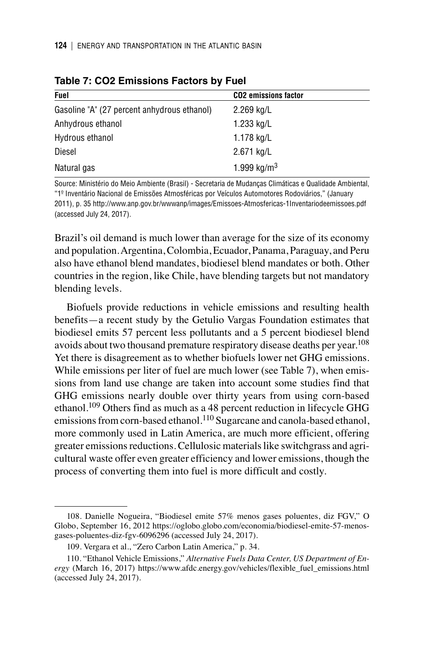| Fuel                                        | <b>CO2</b> emissions factor |
|---------------------------------------------|-----------------------------|
| Gasoline "A" (27 percent anhydrous ethanol) | 2.269 kg/L                  |
| Anhydrous ethanol                           | 1.233 kg/L                  |
| Hydrous ethanol                             | 1.178 kg/L                  |
| Diesel                                      | 2.671 kg/L                  |
| Natural gas                                 | 1.999 kg/m <sup>3</sup>     |

| Table 7: CO2 Emissions Factors by Fuel |  |  |  |  |
|----------------------------------------|--|--|--|--|
|----------------------------------------|--|--|--|--|

Source: Ministério do Meio Ambiente (Brasil) - Secretaria de Mudanças Climáticas e Qualidade Ambiental, "1º Inventário Nacional de Emissões Atmosféricas por Veículos Automotores Rodoviários," (January 2011), p. 35 http://www.anp.gov.br/wwwanp/images/Emissoes-Atmosfericas-1Inventariodeemissoes.pdf (accessed July 24, 2017).

Brazil's oil demand is much lower than average for the size of its economy and population.Argentina,Colombia, Ecuador, Panama, Paraguay, and Peru also have ethanol blend mandates, biodiesel blend mandates or both. Other countries in the region, like Chile, have blending targets but not mandatory blending levels.

Biofuels provide reductions in vehicle emissions and resulting health benefits—a recent study by the Getulio Vargas Foundation estimates that biodiesel emits 57 percent less pollutants and a 5 percent biodiesel blend avoids about two thousand premature respiratory disease deaths per year. 108 Yet there is disagreement as to whether biofuels lower net GHG emissions. While emissions per liter of fuel are much lower (see Table 7), when emissions from land use change are taken into account some studies find that GHG emissions nearly double over thirty years from using corn-based ethanol. <sup>109</sup> Others find as much as a 48 percent reduction in lifecycle GHG emissions from corn-based ethanol.<sup>110</sup> Sugarcane and canola-based ethanol, more commonly used in Latin America, are much more efficient, offering greater emissions reductions. Cellulosic materials like switchgrass and agricultural waste offer even greater efficiency and lower emissions, though the process of converting them into fuel is more difficult and costly.

<sup>108.</sup> Danielle Nogueira, "Biodiesel emite 57% menos gases poluentes, diz FGV," O Globo, September 16, 2012 https://oglobo.globo.com/economia/biodiesel-emite-57-menosgases-poluentes-diz-fgv-6096296 (accessed July 24, 2017).

<sup>109.</sup> Vergara et al., "Zero Carbon Latin America," p. 34.

<sup>110.</sup> "Ethanol Vehicle Emissions," *Alternative Fuels Data Center, US Department of Energy* (March 16, 2017) https://www.afdc.energy.gov/vehicles/flexible\_fuel\_emissions.html (accessed July 24, 2017).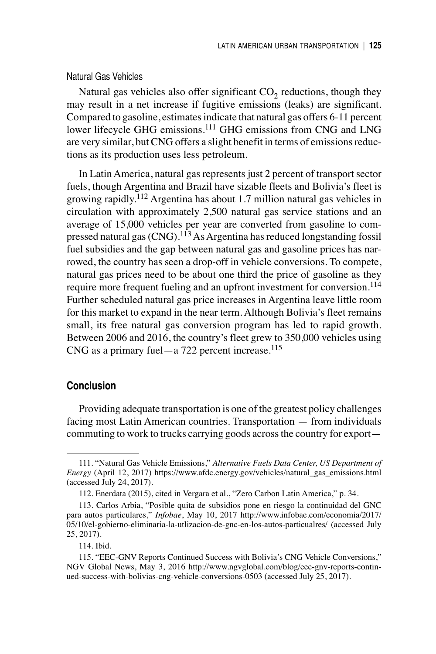Natural Gas Vehicles

Natural gas vehicles also offer significant  $CO<sub>2</sub>$  reductions, though they may result in a net increase if fugitive emissions (leaks) are significant. Compared to gasoline, estimatesindicate that natural gas offers 6-11 percent lower lifecycle GHG emissions.<sup>111</sup> GHG emissions from CNG and LNG are very similar, but CNG offers a slight benefit in terms of emissions reductions as its production uses less petroleum.

In LatinAmerica, natural gas represents just 2 percent of transport sector fuels, though Argentina and Brazil have sizable fleets and Bolivia's fleet is growing rapidly. <sup>112</sup> Argentina has about 1.7 million natural gas vehicles in circulation with approximately 2,500 natural gas service stations and an average of 15,000 vehicles per year are converted from gasoline to compressed natural gas (CNG).<sup>113</sup> As Argentina has reduced longstanding fossil fuel subsidies and the gap between natural gas and gasoline prices has narrowed, the country has seen a drop-off in vehicle conversions. To compete, natural gas prices need to be about one third the price of gasoline as they require more frequent fueling and an upfront investment for conversion.<sup>114</sup> Further scheduled natural gas price increases in Argentina leave little room for this market to expand in the near term. Although Bolivia's fleet remains small, its free natural gas conversion program has led to rapid growth. Between 2006 and 2016, the country's fleet grew to 350,000 vehicles using CNG as a primary fuel—a 722 percent increase. 115

# **Conclusion**

Providing adequate transportation is one of the greatest policy challenges facing most Latin American countries. Transportation — from individuals commuting to work to trucks carrying goods across the country for export—

<sup>111.</sup> "Natural Gas Vehicle Emissions," *Alternative Fuels Data Center, US Department of Energy* (April 12, 2017) https://www.afdc.energy.gov/vehicles/natural\_gas\_emissions.html (accessed July 24, 2017).

<sup>112.</sup> Enerdata (2015), cited in Vergara et al., "Zero Carbon Latin America," p. 34.

<sup>113.</sup> Carlos Arbia, "Posible quita de subsidios pone en riesgo la continuidad del GNC para autos particulares," *Infobae*, May 10, 2017 http://www.infobae.com/economia/2017/ 05/10/el-gobierno-eliminaria-la-utlizacion-de-gnc-en-los-autos-particualres/ (accessed July 25, 2017).

<sup>114.</sup> Ibid.

<sup>115.</sup> "EEC-GNV Reports Continued Success with Bolivia's CNG Vehicle Conversions," NGV Global News, May 3, 2016 http://www.ngvglobal.com/blog/eec-gnv-reports-continued-success-with-bolivias-cng-vehicle-conversions-0503 (accessed July 25, 2017).